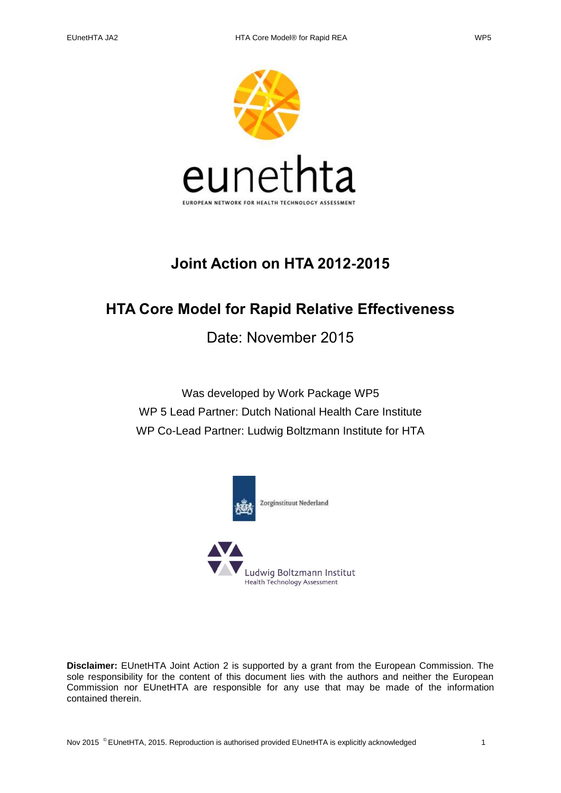

# **Joint Action on HTA 2012-2015**

# **HTA Core Model for Rapid Relative Effectiveness**

Date: November 2015

Was developed by Work Package WP5 WP 5 Lead Partner: Dutch National Health Care Institute WP Co-Lead Partner: Ludwig Boltzmann Institute for HTA





**Disclaimer:** EUnetHTA Joint Action 2 is supported by a grant from the European Commission. The sole responsibility for the content of this document lies with the authors and neither the European Commission nor EUnetHTA are responsible for any use that may be made of the information contained therein.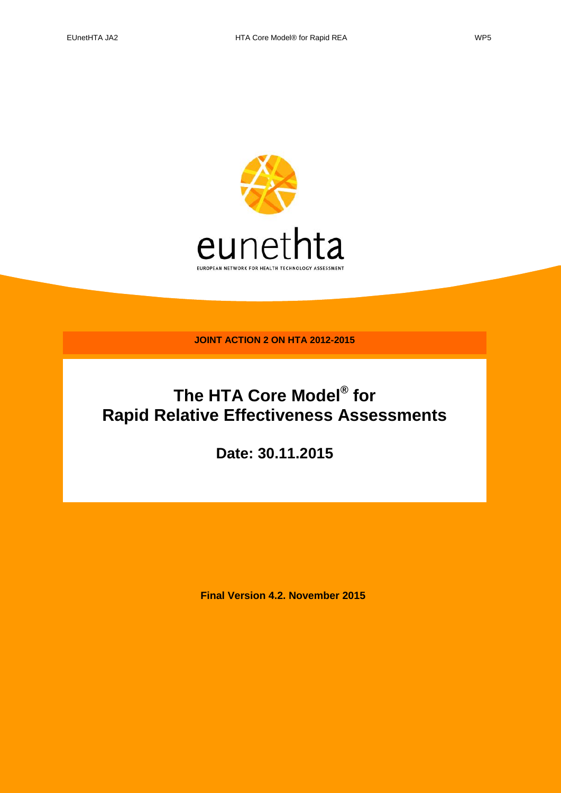

**JOINT ACTION 2 ON HTA 2012-2015**

# **The HTA Core Model® for Rapid Relative Effectiveness Assessments**

**Date: 30.11.2015**

**Final Version 4.2. November 2015**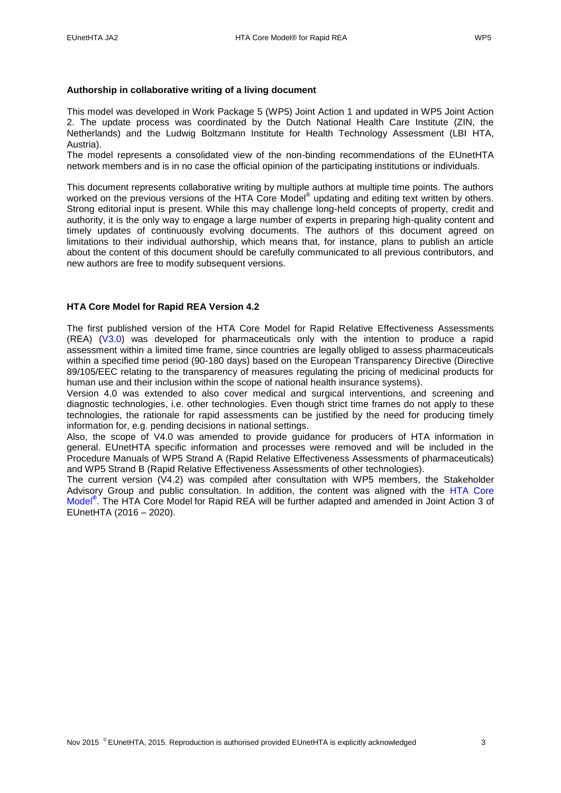#### **Authorship in collaborative writing of a living document**

This model was developed in Work Package 5 (WP5) Joint Action 1 and updated in WP5 Joint Action 2. The update process was coordinated by the Dutch National Health Care Institute (ZIN, the Netherlands) and the Ludwig Boltzmann Institute for Health Technology Assessment (LBI HTA, Austria).

The model represents a consolidated view of the non-binding recommendations of the EUnetHTA network members and is in no case the official opinion of the participating institutions or individuals.

This document represents collaborative writing by multiple authors at multiple time points. The authors worked on the previous versions of the HTA Core Model® updating and editing text written by others. Strong editorial input is present. While this may challenge long-held concepts of property, credit and authority, it is the only way to engage a large number of experts in preparing high-quality content and timely updates of continuously evolving documents. The authors of this document agreed on limitations to their individual authorship, which means that, for instance, plans to publish an article about the content of this document should be carefully communicated to all previous contributors, and new authors are free to modify subsequent versions.

#### **HTA Core Model for Rapid REA Version 4.2**

The first published version of the HTA Core Model for Rapid Relative Effectiveness Assessments (REA) [\(V3.0\)](http://meka.thl.fi/htacore/model/HTA%20Core%20Model%20for%20Rapid%20REA%20of%20Pharmaceuticals%203.0.pdf) was developed for pharmaceuticals only with the intention to produce a rapid assessment within a limited time frame, since countries are legally obliged to assess pharmaceuticals within a specified time period (90-180 days) based on the European Transparency Directive (Directive 89/105/EEC relating to the transparency of measures regulating the pricing of medicinal products for human use and their inclusion within the scope of national health insurance systems).

Version 4.0 was extended to also cover medical and surgical interventions, and screening and diagnostic technologies, i.e. other technologies. Even though strict time frames do not apply to these technologies, the rationale for rapid assessments can be justified by the need for producing timely information for, e.g. pending decisions in national settings.

Also, the scope of V4.0 was amended to provide guidance for producers of HTA information in general. EUnetHTA specific information and processes were removed and will be included in the Procedure Manuals of WP5 Strand A (Rapid Relative Effectiveness Assessments of pharmaceuticals) and WP5 Strand B (Rapid Relative Effectiveness Assessments of other technologies).

The current version (V4.2) was compiled after consultation with WP5 members, the Stakeholder Advisory Group and public consultation. In addition, the content was aligned with the [HTA Core](http://meka.thl.fi/htacore/BrowseModel.aspx)  [Model](http://meka.thl.fi/htacore/BrowseModel.aspx)**®** . The HTA Core Model for Rapid REA will be further adapted and amended in Joint Action 3 of EUnetHTA (2016 – 2020).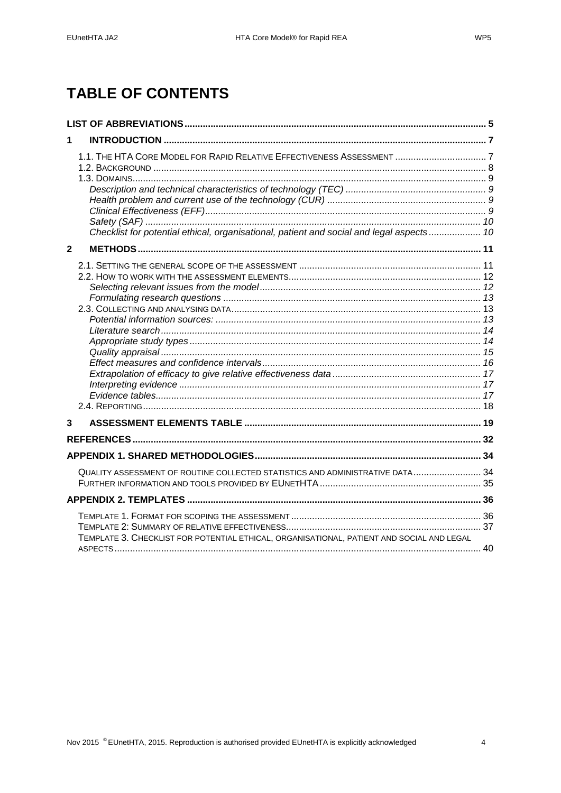# **TABLE OF CONTENTS**

| 1                                                                                                                                                                  |
|--------------------------------------------------------------------------------------------------------------------------------------------------------------------|
| 1.1. THE HTA CORE MODEL FOR RAPID RELATIVE EFFECTIVENESS ASSESSMENT  7<br>Checklist for potential ethical, organisational, patient and social and legal aspects 10 |
| $\mathbf{2}$                                                                                                                                                       |
|                                                                                                                                                                    |
| 3                                                                                                                                                                  |
|                                                                                                                                                                    |
|                                                                                                                                                                    |
| QUALITY ASSESSMENT OF ROUTINE COLLECTED STATISTICS AND ADMINISTRATIVE DATA 34                                                                                      |
|                                                                                                                                                                    |
| TEMPLATE 3. CHECKLIST FOR POTENTIAL ETHICAL, ORGANISATIONAL, PATIENT AND SOCIAL AND LEGAL                                                                          |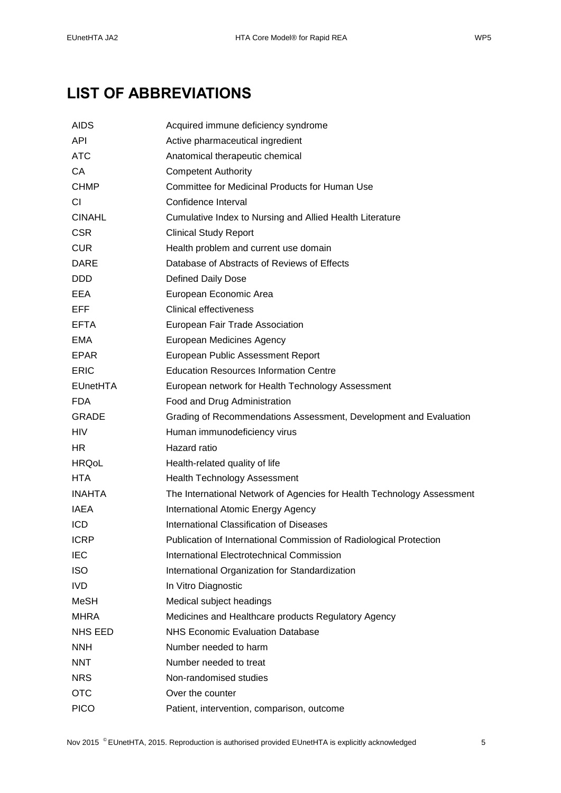# <span id="page-4-0"></span>**LIST OF ABBREVIATIONS**

| <b>AIDS</b>     | Acquired immune deficiency syndrome                                    |  |  |  |
|-----------------|------------------------------------------------------------------------|--|--|--|
| <b>API</b>      | Active pharmaceutical ingredient                                       |  |  |  |
| <b>ATC</b>      | Anatomical therapeutic chemical                                        |  |  |  |
| CA              | <b>Competent Authority</b>                                             |  |  |  |
| <b>CHMP</b>     | Committee for Medicinal Products for Human Use                         |  |  |  |
| <b>CI</b>       | Confidence Interval                                                    |  |  |  |
| <b>CINAHL</b>   | Cumulative Index to Nursing and Allied Health Literature               |  |  |  |
| <b>CSR</b>      | <b>Clinical Study Report</b>                                           |  |  |  |
| <b>CUR</b>      | Health problem and current use domain                                  |  |  |  |
| <b>DARE</b>     | Database of Abstracts of Reviews of Effects                            |  |  |  |
| <b>DDD</b>      | <b>Defined Daily Dose</b>                                              |  |  |  |
| EEA             | European Economic Area                                                 |  |  |  |
| EFF             | <b>Clinical effectiveness</b>                                          |  |  |  |
| <b>EFTA</b>     | European Fair Trade Association                                        |  |  |  |
| EMA             | European Medicines Agency                                              |  |  |  |
| <b>EPAR</b>     | European Public Assessment Report                                      |  |  |  |
| <b>ERIC</b>     | <b>Education Resources Information Centre</b>                          |  |  |  |
| <b>EUnetHTA</b> | European network for Health Technology Assessment                      |  |  |  |
| <b>FDA</b>      | Food and Drug Administration                                           |  |  |  |
| <b>GRADE</b>    | Grading of Recommendations Assessment, Development and Evaluation      |  |  |  |
| <b>HIV</b>      | Human immunodeficiency virus                                           |  |  |  |
| HR.             | Hazard ratio                                                           |  |  |  |
| <b>HRQoL</b>    | Health-related quality of life                                         |  |  |  |
| HTA             | <b>Health Technology Assessment</b>                                    |  |  |  |
| <b>INAHTA</b>   | The International Network of Agencies for Health Technology Assessment |  |  |  |
| <b>IAEA</b>     | International Atomic Energy Agency                                     |  |  |  |
| <b>ICD</b>      | International Classification of Diseases                               |  |  |  |
| <b>ICRP</b>     | Publication of International Commission of Radiological Protection     |  |  |  |
| <b>IEC</b>      | International Electrotechnical Commission                              |  |  |  |
| <b>ISO</b>      | International Organization for Standardization                         |  |  |  |
| <b>IVD</b>      | In Vitro Diagnostic                                                    |  |  |  |
| MeSH            | Medical subject headings                                               |  |  |  |
| <b>MHRA</b>     | Medicines and Healthcare products Regulatory Agency                    |  |  |  |
| <b>NHS EED</b>  | <b>NHS Economic Evaluation Database</b>                                |  |  |  |
| <b>NNH</b>      | Number needed to harm                                                  |  |  |  |
| <b>NNT</b>      | Number needed to treat                                                 |  |  |  |
| <b>NRS</b>      | Non-randomised studies                                                 |  |  |  |
| <b>OTC</b>      | Over the counter                                                       |  |  |  |
| <b>PICO</b>     | Patient, intervention, comparison, outcome                             |  |  |  |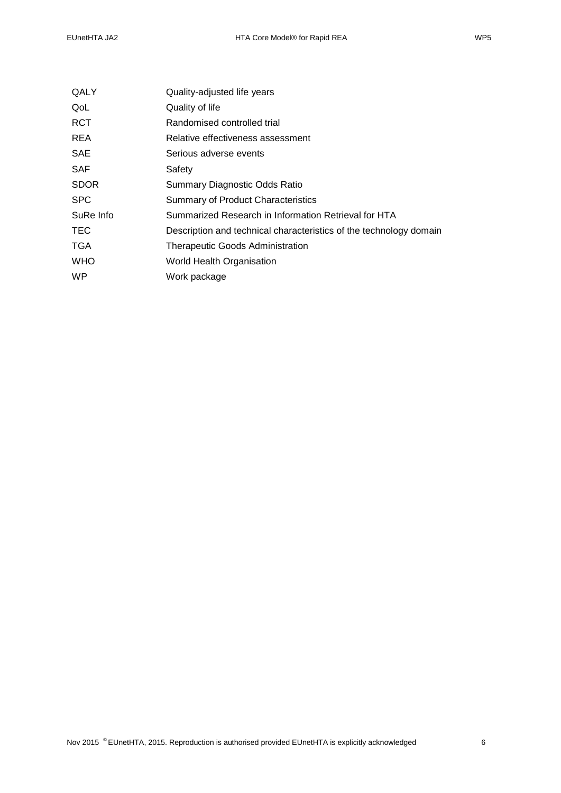|  |  | WF |  |
|--|--|----|--|
|  |  |    |  |

| QALY        | Quality-adjusted life years                                        |  |  |
|-------------|--------------------------------------------------------------------|--|--|
| QoL         | Quality of life                                                    |  |  |
| RCT         | Randomised controlled trial                                        |  |  |
| REA         | Relative effectiveness assessment                                  |  |  |
| SAE         | Serious adverse events                                             |  |  |
| SAF         | Safety                                                             |  |  |
| <b>SDOR</b> | Summary Diagnostic Odds Ratio                                      |  |  |
| <b>SPC</b>  | <b>Summary of Product Characteristics</b>                          |  |  |
| SuRe Info   | Summarized Research in Information Retrieval for HTA               |  |  |
| TEC         | Description and technical characteristics of the technology domain |  |  |
| TGA         | <b>Therapeutic Goods Administration</b>                            |  |  |
| WHO         | World Health Organisation                                          |  |  |
| WP.         | Work package                                                       |  |  |
|             |                                                                    |  |  |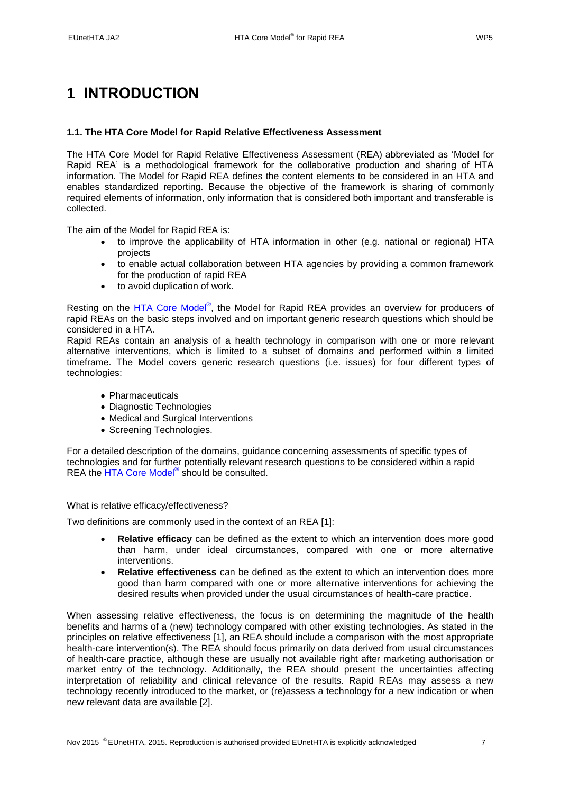# <span id="page-6-0"></span>**1 INTRODUCTION**

### <span id="page-6-1"></span>**1.1. The HTA Core Model for Rapid Relative Effectiveness Assessment**

The HTA Core Model for Rapid Relative Effectiveness Assessment (REA) abbreviated as 'Model for Rapid REA' is a methodological framework for the collaborative production and sharing of HTA information. The Model for Rapid REA defines the content elements to be considered in an HTA and enables standardized reporting. Because the objective of the framework is sharing of commonly required elements of information, only information that is considered both important and transferable is collected.

The aim of the Model for Rapid REA is:

- to improve the applicability of HTA information in other (e.g. national or regional) HTA projects
- to enable actual collaboration between HTA agencies by providing a common framework for the production of rapid REA
- to avoid duplication of work.

Resting on the [HTA Core Model](http://meka.thl.fi/htacore/BrowseModel.aspx)®, the Model for Rapid REA provides an overview for producers of rapid REAs on the basic steps involved and on important generic research questions which should be considered in a HTA.

Rapid REAs contain an analysis of a health technology in comparison with one or more relevant alternative interventions, which is limited to a subset of domains and performed within a limited timeframe. The Model covers generic research questions (i.e. issues) for four different types of technologies:

- Pharmaceuticals
- Diagnostic Technologies
- Medical and Surgical Interventions
- Screening Technologies.

For a detailed description of the domains, guidance concerning assessments of specific types of technologies and for further potentially relevant research questions to be considered within a rapid REA the [HTA Core Model](http://meka.thl.fi/htacore/BrowseModel.aspx)<sup>®</sup> should be consulted.

#### What is relative efficacy/effectiveness?

Two definitions are commonly used in the context of an REA [\[1\]](#page-31-1):

- **Relative efficacy** can be defined as the extent to which an intervention does more good than harm, under ideal circumstances, compared with one or more alternative interventions.
- **Relative effectiveness** can be defined as the extent to which an intervention does more good than harm compared with one or more alternative interventions for achieving the desired results when provided under the usual circumstances of health-care practice.

When assessing relative effectiveness, the focus is on determining the magnitude of the health benefits and harms of a (new) technology compared with other existing technologies. As stated in the principles on relative effectiveness [\[1\]](#page-31-1), an REA should include a comparison with the most appropriate health-care intervention(s). The REA should focus primarily on data derived from usual circumstances of health-care practice, although these are usually not available right after marketing authorisation or market entry of the technology. Additionally, the REA should present the uncertainties affecting interpretation of reliability and clinical relevance of the results. Rapid REAs may assess a new technology recently introduced to the market, or (re)assess a technology for a new indication or when new relevant data are available [\[2\]](#page-31-2).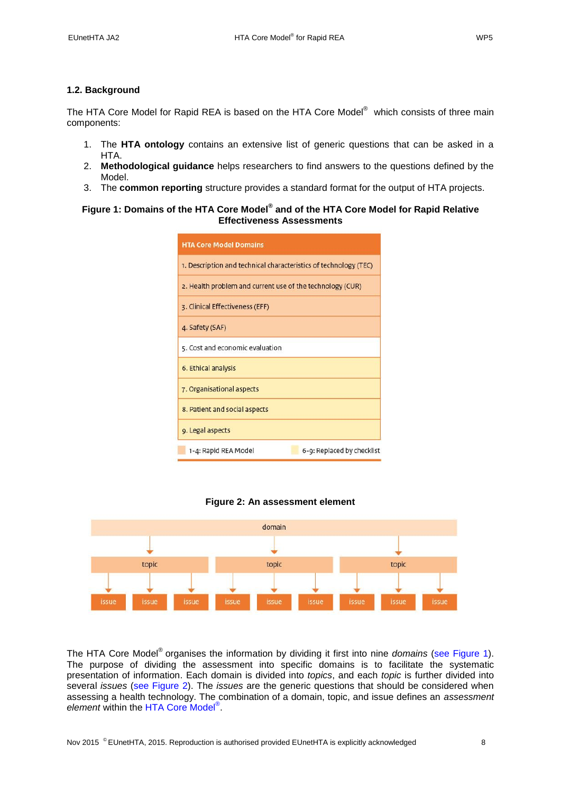### <span id="page-7-0"></span>**1.2. Background**

The HTA Core Model for Rapid REA is based on the HTA Core Model® which consists of three main components:

- 1. The **HTA ontology** contains an extensive list of generic questions that can be asked in a HTA.
- 2. **Methodological guidance** helps researchers to find answers to the questions defined by the Model.
- 3. The **common reporting** structure provides a standard format for the output of HTA projects.

### <span id="page-7-1"></span>**Figure 1: Domains of the HTA Core Model® and of the HTA Core Model for Rapid Relative Effectiveness Assessments**

| <b>HTA Core Model Domains</b>                                    |  |  |  |  |
|------------------------------------------------------------------|--|--|--|--|
| 1. Description and technical characteristics of technology (TEC) |  |  |  |  |
| 2. Health problem and current use of the technology (CUR)        |  |  |  |  |
| 3. Clinical Effectiveness (EFF)                                  |  |  |  |  |
| 4. Safety (SAF)                                                  |  |  |  |  |
| 5. Cost and economic evaluation                                  |  |  |  |  |
| 6. Ethical analysis                                              |  |  |  |  |
| 7. Organisational aspects                                        |  |  |  |  |
| 8. Patient and social aspects                                    |  |  |  |  |
| 9. Legal aspects                                                 |  |  |  |  |
| 6-9: Replaced by checklist<br>1-4: Rapid REA Model               |  |  |  |  |



<span id="page-7-2"></span>

The HTA Core Model® organises the information by dividing it first into nine *domains* (see [Figure 1\)](#page-7-1). The purpose of dividing the assessment into specific domains is to facilitate the systematic presentation of information. Each domain is divided into *topics*, and each *topic* is further divided into several *issues* (see [Figure 2\)](#page-7-2). The *issues* are the generic questions that should be considered when assessing a health technology. The combination of a domain, topic, and issue defines an *assessment element* within the [HTA Core Model](http://meka.thl.fi/htacore/BrowseModel.aspx)® .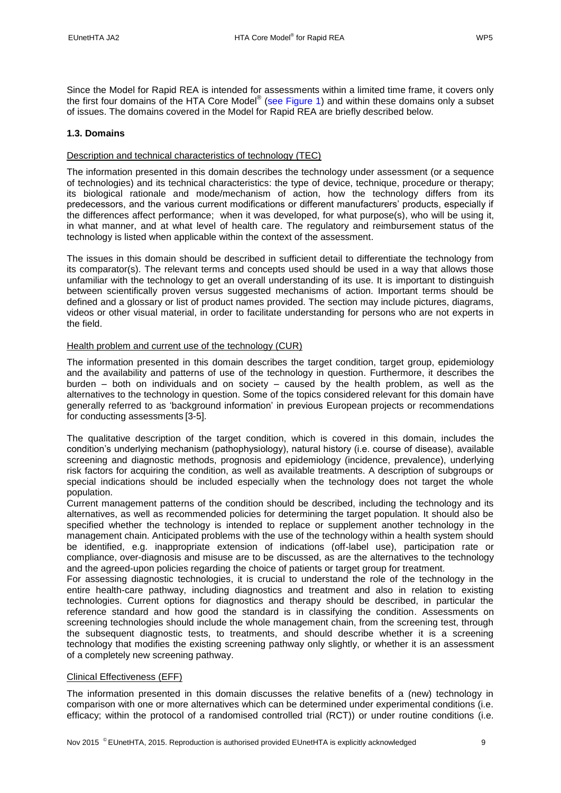Since the Model for Rapid REA is intended for assessments within a limited time frame, it covers only the first four domains of the HTA Core Model® (see [Figure 1\)](#page-7-1) and within these domains only a subset of issues. The domains covered in the Model for Rapid REA are briefly described below.

# <span id="page-8-0"></span>**1.3. Domains**

# <span id="page-8-1"></span>Description and technical characteristics of technology (TEC)

The information presented in this domain describes the technology under assessment (or a sequence of technologies) and its technical characteristics: the type of device, technique, procedure or therapy; its biological rationale and mode/mechanism of action, how the technology differs from its predecessors, and the various current modifications or different manufacturers' products, especially if the differences affect performance; when it was developed, for what purpose(s), who will be using it, in what manner, and at what level of health care. The regulatory and reimbursement status of the technology is listed when applicable within the context of the assessment.

The issues in this domain should be described in sufficient detail to differentiate the technology from its comparator(s). The relevant terms and concepts used should be used in a way that allows those unfamiliar with the technology to get an overall understanding of its use. It is important to distinguish between scientifically proven versus suggested mechanisms of action. Important terms should be defined and a glossary or list of product names provided. The section may include pictures, diagrams, videos or other visual material, in order to facilitate understanding for persons who are not experts in the field.

# <span id="page-8-2"></span>Health problem and current use of the technology (CUR)

The information presented in this domain describes the target condition, target group, epidemiology and the availability and patterns of use of the technology in question. Furthermore, it describes the burden – both on individuals and on society – caused by the health problem, as well as the alternatives to the technology in question. Some of the topics considered relevant for this domain have generally referred to as 'background information' in previous European projects or recommendations for conducting assessments [\[3-5\]](#page-31-3).

The qualitative description of the target condition, which is covered in this domain, includes the condition's underlying mechanism (pathophysiology), natural history (i.e. course of disease), available screening and diagnostic methods, prognosis and epidemiology (incidence, prevalence), underlying risk factors for acquiring the condition, as well as available treatments. A description of subgroups or special indications should be included especially when the technology does not target the whole population.

Current management patterns of the condition should be described, including the technology and its alternatives, as well as recommended policies for determining the target population. It should also be specified whether the technology is intended to replace or supplement another technology in the management chain. Anticipated problems with the use of the technology within a health system should be identified, e.g. inappropriate extension of indications (off-label use), participation rate or compliance, over-diagnosis and misuse are to be discussed, as are the alternatives to the technology and the agreed-upon policies regarding the choice of patients or target group for treatment.

For assessing diagnostic technologies, it is crucial to understand the role of the technology in the entire health-care pathway, including diagnostics and treatment and also in relation to existing technologies. Current options for diagnostics and therapy should be described, in particular the reference standard and how good the standard is in classifying the condition. Assessments on screening technologies should include the whole management chain, from the screening test, through the subsequent diagnostic tests, to treatments, and should describe whether it is a screening technology that modifies the existing screening pathway only slightly, or whether it is an assessment of a completely new screening pathway.

# <span id="page-8-3"></span>Clinical Effectiveness (EFF)

The information presented in this domain discusses the relative benefits of a (new) technology in comparison with one or more alternatives which can be determined under experimental conditions (i.e. efficacy; within the protocol of a randomised controlled trial (RCT)) or under routine conditions (i.e.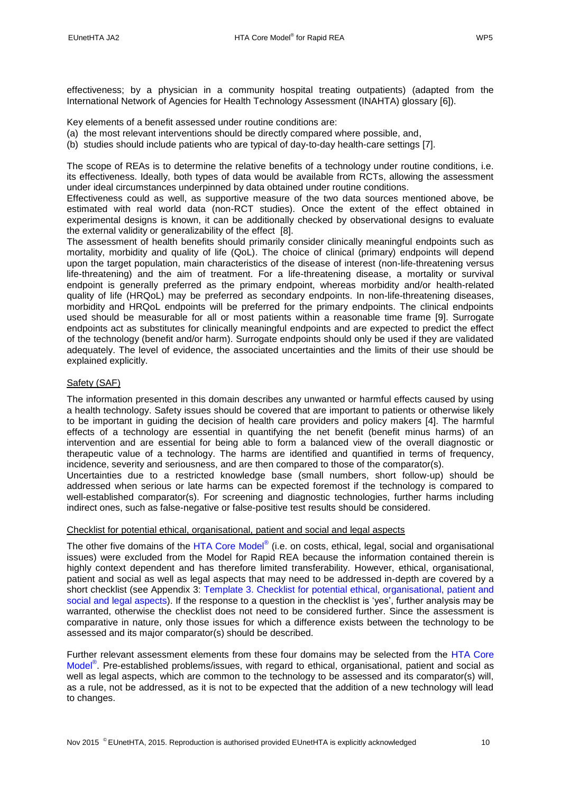effectiveness; by a physician in a community hospital treating outpatients) (adapted from the International Network of Agencies for Health Technology Assessment (INAHTA) glossary [\[6\]](#page-31-4)).

Key elements of a benefit assessed under routine conditions are:

- (a) the most relevant interventions should be directly compared where possible, and,
- (b) studies should include patients who are typical of day-to-day health-care settings [\[7\]](#page-31-5).

The scope of REAs is to determine the relative benefits of a technology under routine conditions, i.e. its effectiveness. Ideally, both types of data would be available from RCTs, allowing the assessment under ideal circumstances underpinned by data obtained under routine conditions.

Effectiveness could as well, as supportive measure of the two data sources mentioned above, be estimated with real world data (non-RCT studies). Once the extent of the effect obtained in experimental designs is known, it can be additionally checked by observational designs to evaluate the external validity or generalizability of the effect [\[8\]](#page-31-6).

The assessment of health benefits should primarily consider clinically meaningful endpoints such as mortality, morbidity and quality of life (QoL). The choice of clinical (primary) endpoints will depend upon the target population, main characteristics of the disease of interest (non-life-threatening versus life-threatening) and the aim of treatment. For a life-threatening disease, a mortality or survival endpoint is generally preferred as the primary endpoint, whereas morbidity and/or health-related quality of life (HRQoL) may be preferred as secondary endpoints. In non-life-threatening diseases, morbidity and HRQoL endpoints will be preferred for the primary endpoints. The clinical endpoints used should be measurable for all or most patients within a reasonable time frame [\[9\]](#page-31-7). Surrogate endpoints act as substitutes for clinically meaningful endpoints and are expected to predict the effect of the technology (benefit and/or harm). Surrogate endpoints should only be used if they are validated adequately. The level of evidence, the associated uncertainties and the limits of their use should be explained explicitly.

### <span id="page-9-0"></span>Safety (SAF)

The information presented in this domain describes any unwanted or harmful effects caused by using a health technology. Safety issues should be covered that are important to patients or otherwise likely to be important in guiding the decision of health care providers and policy makers [\[4\]](#page-31-8). The harmful effects of a technology are essential in quantifying the net benefit (benefit minus harms) of an intervention and are essential for being able to form a balanced view of the overall diagnostic or therapeutic value of a technology. The harms are identified and quantified in terms of frequency, incidence, severity and seriousness, and are then compared to those of the comparator(s).

Uncertainties due to a restricted knowledge base (small numbers, short follow-up) should be addressed when serious or late harms can be expected foremost if the technology is compared to well-established comparator(s). For screening and diagnostic technologies, further harms including indirect ones, such as false-negative or false-positive test results should be considered.

#### <span id="page-9-1"></span>Checklist for potential ethical, organisational, patient and social and legal aspects

The other five domains of the [HTA Core Model](http://meka.thl.fi/htacore/BrowseModel.aspx)® (i.e. on costs, ethical, legal, social and organisational issues) were excluded from the Model for Rapid REA because the information contained therein is highly context dependent and has therefore limited transferability. However, ethical, organisational, patient and social as well as legal aspects that may need to be addressed in-depth are covered by a short checklist (see Appendix 3: Template 3. Checklist for [potential ethical, organisational, patient and](#page-39-0)  social and [legal aspects\)](#page-39-0). If the response to a question in the checklist is 'yes', further analysis may be warranted, otherwise the checklist does not need to be considered further. Since the assessment is comparative in nature, only those issues for which a difference exists between the technology to be assessed and its major comparator(s) should be described.

Further relevant assessment elements from these four domains may be selected from the [HTA Core](http://meka.thl.fi/htacore/BrowseModel.aspx)  [Model](http://meka.thl.fi/htacore/BrowseModel.aspx)<sup>®</sup>. Pre-established problems/issues, with regard to ethical, organisational, patient and social as well as legal aspects, which are common to the technology to be assessed and its comparator(s) will, as a rule, not be addressed, as it is not to be expected that the addition of a new technology will lead to changes.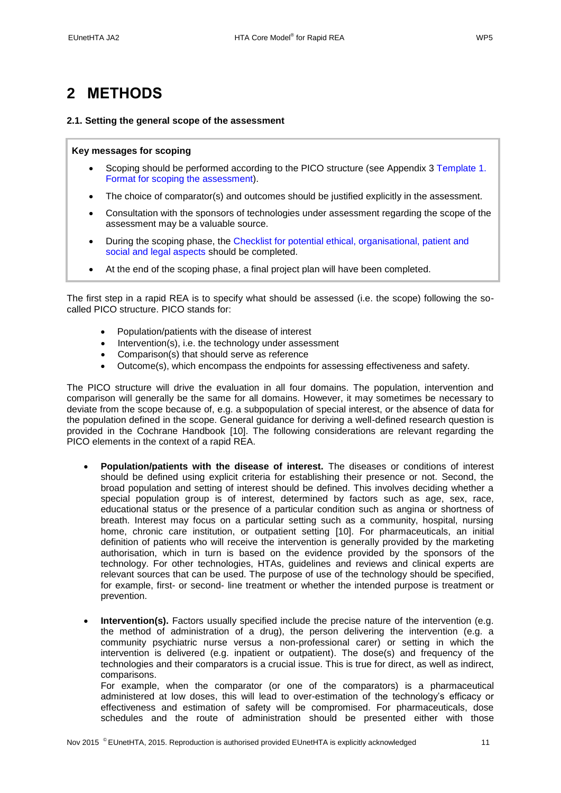# <span id="page-10-0"></span>**2 METHODS**

### <span id="page-10-1"></span>**2.1. Setting the general scope of the assessment**

### **Key messages for scoping**

- Scoping should be performed according to the PICO structure (see Appendix 3 [Template 1.](#page-35-1)  [Format for scoping the assessment\)](#page-35-1).
- The choice of comparator(s) and outcomes should be justified explicitly in the assessment.
- Consultation with the sponsors of technologies under assessment regarding the scope of the assessment may be a valuable source.
- During the scoping phase, the [Checklist for potential ethical, organisational, patient and](#page-39-0)  [social and legal aspects](#page-39-0) should be completed.
- At the end of the scoping phase, a final project plan will have been completed.

The first step in a rapid REA is to specify what should be assessed (i.e. the scope) following the socalled PICO structure. PICO stands for:

- Population/patients with the disease of interest
- Intervention(s), i.e. the technology under assessment
- Comparison(s) that should serve as reference
- Outcome(s), which encompass the endpoints for assessing effectiveness and safety.

The PICO structure will drive the evaluation in all four domains. The population, intervention and comparison will generally be the same for all domains. However, it may sometimes be necessary to deviate from the scope because of, e.g. a subpopulation of special interest, or the absence of data for the population defined in the scope. General guidance for deriving a well-defined research question is provided in the Cochrane Handbook [\[10\]](#page-31-9). The following considerations are relevant regarding the PICO elements in the context of a rapid REA.

- **Population/patients with the disease of interest.** The diseases or conditions of interest should be defined using explicit criteria for establishing their presence or not. Second, the broad population and setting of interest should be defined. This involves deciding whether a special population group is of interest, determined by factors such as age, sex, race, educational status or the presence of a particular condition such as angina or shortness of breath. Interest may focus on a particular setting such as a community, hospital, nursing home, chronic care institution, or outpatient setting [\[10\]](#page-31-9). For pharmaceuticals, an initial definition of patients who will receive the intervention is generally provided by the marketing authorisation, which in turn is based on the evidence provided by the sponsors of the technology. For other technologies, HTAs, guidelines and reviews and clinical experts are relevant sources that can be used. The purpose of use of the technology should be specified, for example, first- or second- line treatment or whether the intended purpose is treatment or prevention.
- **Intervention(s).** Factors usually specified include the precise nature of the intervention (e.g. the method of administration of a drug), the person delivering the intervention (e.g. a community psychiatric nurse versus a non-professional carer) or setting in which the intervention is delivered (e.g. inpatient or outpatient). The dose(s) and frequency of the technologies and their comparators is a crucial issue. This is true for direct, as well as indirect, comparisons.

For example, when the comparator (or one of the comparators) is a pharmaceutical administered at low doses, this will lead to over-estimation of the technology's efficacy or effectiveness and estimation of safety will be compromised. For pharmaceuticals, dose schedules and the route of administration should be presented either with those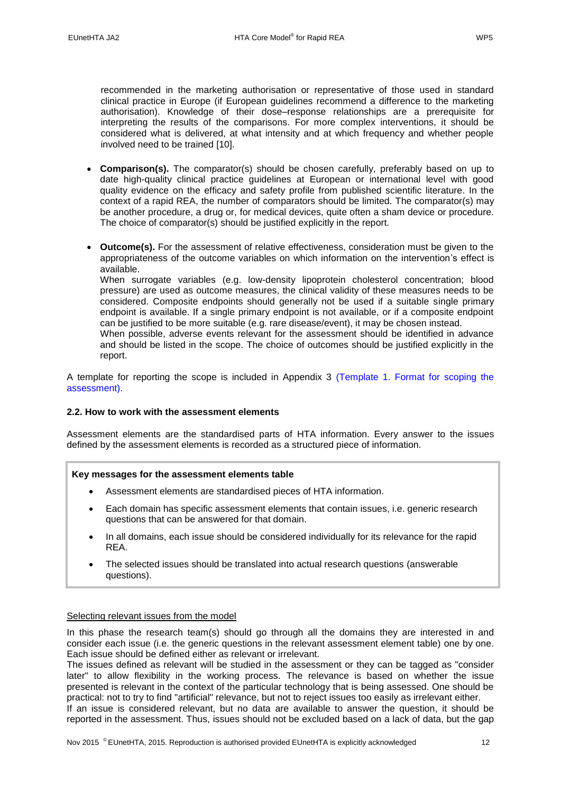recommended in the marketing authorisation or representative of those used in standard clinical practice in Europe (if European guidelines recommend a difference to the marketing authorisation). Knowledge of their dose–response relationships are a prerequisite for interpreting the results of the comparisons. For more complex interventions, it should be considered what is delivered, at what intensity and at which frequency and whether people involved need to be trained [\[10\]](#page-31-9).

- **Comparison(s).** The comparator(s) should be chosen carefully, preferably based on up to date high-quality clinical practice guidelines at European or international level with good quality evidence on the efficacy and safety profile from published scientific literature. In the context of a rapid REA, the number of comparators should be limited. The comparator(s) may be another procedure, a drug or, for medical devices, quite often a sham device or procedure. The choice of comparator(s) should be justified explicitly in the report.
- **Outcome(s).** For the assessment of relative effectiveness, consideration must be given to the appropriateness of the outcome variables on which information on the intervention's effect is available.

When surrogate variables (e.g. low-density lipoprotein cholesterol concentration; blood pressure) are used as outcome measures, the clinical validity of these measures needs to be considered. Composite endpoints should generally not be used if a suitable single primary endpoint is available. If a single primary endpoint is not available, or if a composite endpoint can be justified to be more suitable (e.g. rare disease/event), it may be chosen instead.

When possible, adverse events relevant for the assessment should be identified in advance and should be listed in the scope. The choice of outcomes should be justified explicitly in the report.

A template for reporting the scope is included in Appendix 3 [\(Template 1. Format for scoping the](#page-35-1)  [assessment\)](#page-35-1).

## <span id="page-11-0"></span>**2.2. How to work with the assessment elements**

Assessment elements are the standardised parts of HTA information. Every answer to the issues defined by the assessment elements is recorded as a structured piece of information.

#### **Key messages for the assessment elements table**

- Assessment elements are standardised pieces of HTA information.
- Each domain has specific assessment elements that contain issues, i.e. generic research questions that can be answered for that domain.
- In all domains, each issue should be considered individually for its relevance for the rapid REA.
- The selected issues should be translated into actual research questions (answerable questions).

#### <span id="page-11-1"></span>Selecting relevant issues from the model

In this phase the research team(s) should go through all the domains they are interested in and consider each issue (i.e. the generic questions in the relevant assessment element table) one by one. Each issue should be defined either as relevant or irrelevant.

The issues defined as relevant will be studied in the assessment or they can be tagged as "consider later" to allow flexibility in the working process. The relevance is based on whether the issue presented is relevant in the context of the particular technology that is being assessed. One should be practical: not to try to find "artificial" relevance, but not to reject issues too easily as irrelevant either.

If an issue is considered relevant, but no data are available to answer the question, it should be reported in the assessment. Thus, issues should not be excluded based on a lack of data, but the gap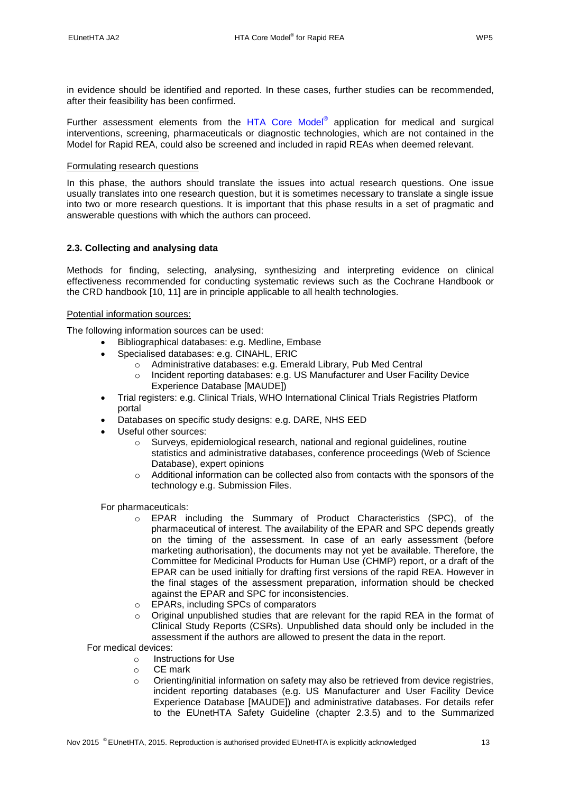in evidence should be identified and reported. In these cases, further studies can be recommended, after their feasibility has been confirmed.

Further assessment elements from the [HTA Core Model](http://meka.thl.fi/htacore/BrowseModel.aspx)<sup>®</sup> application for medical and surgical interventions, [screening,](http://meka.thl.fi/htacore/model/AE-tables-screening-2.1.pdf) pharmaceuticals or diagnostic technologies, which are not contained in the Model for Rapid REA, could also be screened and included in rapid REAs when deemed relevant.

### <span id="page-12-0"></span>Formulating research questions

In this phase, the authors should translate the issues into actual research questions. One issue usually translates into one research question, but it is sometimes necessary to translate a single issue into two or more research questions. It is important that this phase results in a set of pragmatic and answerable questions with which the authors can proceed.

# <span id="page-12-1"></span>**2.3. Collecting and analysing data**

Methods for finding, selecting, analysing, synthesizing and interpreting evidence on clinical effectiveness recommended for conducting systematic reviews such as the Cochrane Handbook or the CRD handbook [\[10,](#page-31-9) [11\]](#page-31-10) are in principle applicable to all health technologies.

### <span id="page-12-2"></span>Potential information sources:

The following information sources can be used:

- Bibliographical databases: e.g. Medline, Embase
- Specialised databases: e.g. CINAHL, ERIC
	- o Administrative databases: e.g. Emerald Library, Pub Med Central
	- o Incident reporting databases: e.g. US Manufacturer and User Facility Device Experience Database [MAUDE])
- Trial registers: e.g. Clinical Trials, WHO International Clinical Trials Registries Platform portal
- Databases on specific study designs: e.g. DARE, NHS EED
- Useful other sources:
	- $\circ$  Surveys, epidemiological research, national and regional guidelines, routine statistics and administrative databases, conference proceedings (Web of Science Database), expert opinions
	- $\circ$  Additional information can be collected also from contacts with the sponsors of the technology e.g. Submission Files.

For pharmaceuticals:

- o EPAR including the Summary of Product Characteristics (SPC), of the pharmaceutical of interest. The availability of the EPAR and SPC depends greatly on the timing of the assessment. In case of an early assessment (before marketing authorisation), the documents may not yet be available. Therefore, the Committee for Medicinal Products for Human Use (CHMP) report, or a draft of the EPAR can be used initially for drafting first versions of the rapid REA. However in the final stages of the assessment preparation, information should be checked against the EPAR and SPC for inconsistencies.
- o EPARs, including SPCs of comparators
- $\circ$  Original unpublished studies that are relevant for the rapid REA in the format of Clinical Study Reports (CSRs). Unpublished data should only be included in the assessment if the authors are allowed to present the data in the report.

For medical devices:

- o Instructions for Use
- o CE mark
- o Orienting/initial information on safety may also be retrieved from device registries, incident reporting databases (e.g. US Manufacturer and User Facility Device Experience Database [MAUDE]) and administrative databases. For details refer to the EUnetHTA Safety Guideline (chapter 2.3.5) and to the Summarized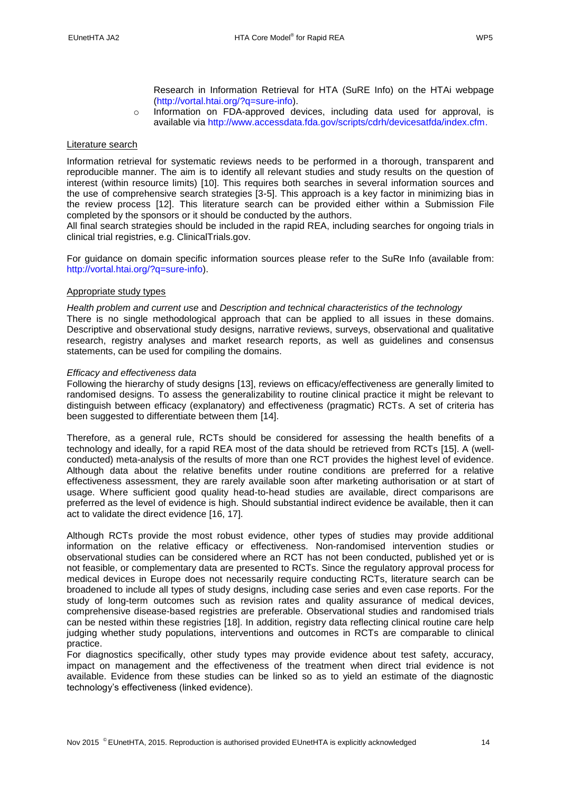Research in Information Retrieval for HTA (SuRE Info) on the HTAi webpage [\(http://vortal.htai.org/?q=sure-info\)](http://vortal.htai.org/?q=node/50).

o Information on FDA-approved devices, including data used for approval, is available via [http://www.accessdata.fda.gov/scripts/cdrh/devicesatfda/index.cfm.](http://www.accessdata.fda.gov/scripts/cdrh/devicesatfda/index.cfm)

#### <span id="page-13-0"></span>Literature search

Information retrieval for systematic reviews needs to be performed in a thorough, transparent and reproducible manner. The aim is to identify all relevant studies and study results on the question of interest (within resource limits) [\[10\]](#page-31-9). This requires both searches in several information sources and the use of comprehensive search strategies [3-5]. This approach is a key factor in minimizing bias in the review process [\[12\]](#page-31-11). This literature search can be provided either within a Submission File completed by the sponsors or it should be conducted by the authors.

All final search strategies should be included in the rapid REA, including searches for ongoing trials in clinical trial registries, e.g. ClinicalTrials.gov.

For guidance on domain specific information sources please refer to the SuRe Info (available from: [http://vortal.htai.org/?q=sure-info\)](http://vortal.htai.org/?q=sure-info).

#### <span id="page-13-1"></span>Appropriate study types

*Health problem and current use* and *Description and technical characteristics of the technology* There is no single methodological approach that can be applied to all issues in these domains. Descriptive and observational study designs, narrative reviews, surveys, observational and qualitative research, registry analyses and market research reports, as well as guidelines and consensus statements, can be used for compiling the domains.

#### *Efficacy and effectiveness data*

Following the hierarchy of study designs [\[13\]](#page-31-12), reviews on efficacy/effectiveness are generally limited to randomised designs. To assess the generalizability to routine clinical practice it might be relevant to distinguish between efficacy (explanatory) and effectiveness (pragmatic) RCTs. A set of criteria has been suggested to differentiate between them [\[14\]](#page-31-13).

Therefore, as a general rule, RCTs should be considered for assessing the health benefits of a technology and ideally, for a rapid REA most of the data should be retrieved from RCTs [\[15\]](#page-31-14). A (wellconducted) meta-analysis of the results of more than one RCT provides the highest level of evidence. Although data about the relative benefits under routine conditions are preferred for a relative effectiveness assessment, they are rarely available soon after marketing authorisation or at start of usage. Where sufficient good quality head-to-head studies are available, direct comparisons are preferred as the level of evidence is high. Should substantial indirect evidence be available, then it can act to validate the direct evidence [\[16,](#page-31-15) [17\]](#page-31-16).

Although RCTs provide the most robust evidence, other types of studies may provide additional information on the relative efficacy or effectiveness. Non-randomised intervention studies or observational studies can be considered where an RCT has not been conducted, published yet or is not feasible, or complementary data are presented to RCTs. Since the regulatory approval process for medical devices in Europe does not necessarily require conducting RCTs, literature search can be broadened to include all types of study designs, including case series and even case reports. For the study of long-term outcomes such as revision rates and quality assurance of medical devices, comprehensive disease-based registries are preferable. Observational studies and randomised trials can be nested within these registries [\[18\]](#page-31-17). In addition, registry data reflecting clinical routine care help judging whether study populations, interventions and outcomes in RCTs are comparable to clinical practice.

For diagnostics specifically, other study types may provide evidence about test safety, accuracy, impact on management and the effectiveness of the treatment when direct trial evidence is not available. Evidence from these studies can be linked so as to yield an estimate of the diagnostic technology's effectiveness (linked evidence).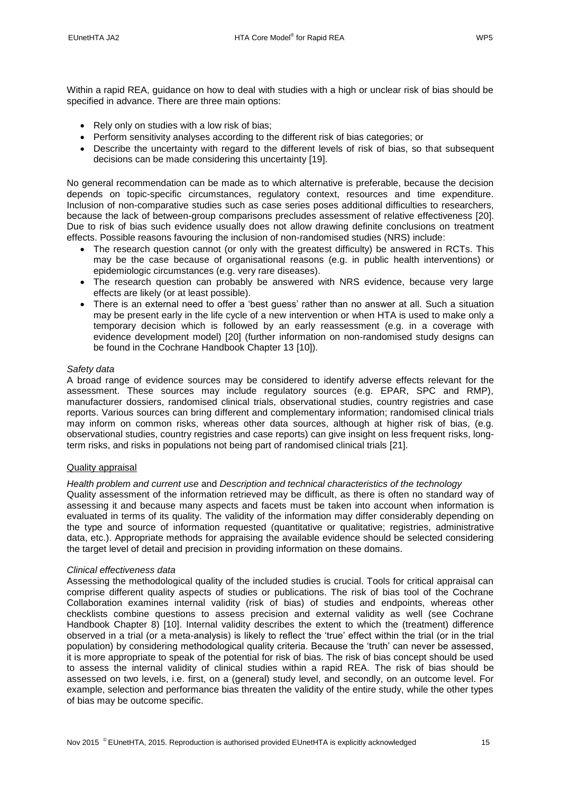- Rely only on studies with a low risk of bias;
- Perform sensitivity analyses according to the different risk of bias categories; or
- Describe the uncertainty with regard to the different levels of risk of bias, so that subsequent decisions can be made considering this uncertainty [\[19\]](#page-31-18).

No general recommendation can be made as to which alternative is preferable, because the decision depends on topic-specific circumstances, regulatory context, resources and time expenditure. Inclusion of non-comparative studies such as case series poses additional difficulties to researchers, because the lack of between-group comparisons precludes assessment of relative effectiveness [\[20\]](#page-31-19). Due to risk of bias such evidence usually does not allow drawing definite conclusions on treatment effects. Possible reasons favouring the inclusion of non-randomised studies (NRS) include:

- The research question cannot (or only with the greatest difficulty) be answered in RCTs. This may be the case because of organisational reasons (e.g. in public health interventions) or epidemiologic circumstances (e.g. very rare diseases).
- The research question can probably be answered with NRS evidence, because very large effects are likely (or at least possible).
- There is an external need to offer a 'best guess' rather than no answer at all. Such a situation may be present early in the life cycle of a new intervention or when HTA is used to make only a temporary decision which is followed by an early reassessment (e.g. in a coverage with evidence development model) [\[20\]](#page-31-19) (further information on non-randomised study designs can be found in the Cochrane Handbook Chapter 13 [\[10\]](#page-31-9)).

### *Safety data*

A broad range of evidence sources may be considered to identify adverse effects relevant for the assessment. These sources may include regulatory sources (e.g. EPAR, SPC and RMP), manufacturer dossiers, randomised clinical trials, observational studies, country registries and case reports. Various sources can bring different and complementary information; randomised clinical trials may inform on common risks, whereas other data sources, although at higher risk of bias, (e.g. observational studies, country registries and case reports) can give insight on less frequent risks, longterm risks, and risks in populations not being part of randomised clinical trials [\[21\]](#page-31-20).

## <span id="page-14-0"></span>Quality appraisal

## *Health problem and current use* and *Description and technical characteristics of the technology*

Quality assessment of the information retrieved may be difficult, as there is often no standard way of assessing it and because many aspects and facets must be taken into account when information is evaluated in terms of its quality. The validity of the information may differ considerably depending on the type and source of information requested (quantitative or qualitative; registries, administrative data, etc.). Appropriate methods for appraising the available evidence should be selected considering the target level of detail and precision in providing information on these domains.

#### *Clinical effectiveness data*

Assessing the methodological quality of the included studies is crucial. Tools for critical appraisal can comprise different quality aspects of studies or publications. The risk of bias tool of the Cochrane Collaboration examines internal validity (risk of bias) of studies and endpoints, whereas other checklists combine questions to assess precision and external validity as well (see Cochrane Handbook Chapter 8) [\[10\]](#page-31-9). Internal validity describes the extent to which the (treatment) difference observed in a trial (or a meta-analysis) is likely to reflect the 'true' effect within the trial (or in the trial population) by considering methodological quality criteria. Because the 'truth' can never be assessed, it is more appropriate to speak of the potential for risk of bias. The risk of bias concept should be used to assess the internal validity of clinical studies within a rapid REA. The risk of bias should be assessed on two levels, i.e. first, on a (general) study level, and secondly, on an outcome level. For example, selection and performance bias threaten the validity of the entire study, while the other types of bias may be outcome specific.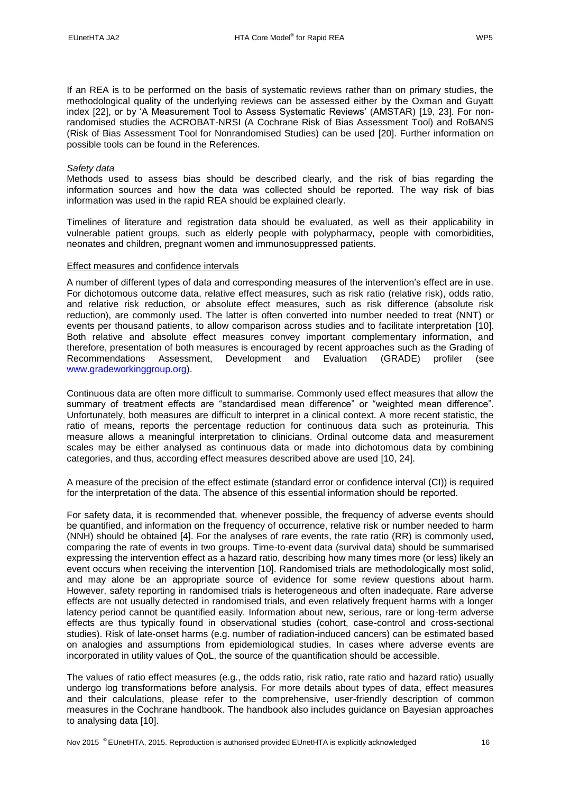If an REA is to be performed on the basis of systematic reviews rather than on primary studies, the methodological quality of the underlying reviews can be assessed either by the Oxman and Guyatt index [\[22\]](#page-31-21), or by 'A Measurement Tool to Assess Systematic Reviews' (AMSTAR) [\[19,](#page-31-18) [23\]](#page-32-0). For nonrandomised studies the ACROBAT-NRSI (A Cochrane Risk of Bias Assessment Tool) and RoBANS (Risk of Bias Assessment Tool for Nonrandomised Studies) can be used [\[20\]](#page-31-19). Further information on possible tools can be found in the References.

#### *Safety data*

Methods used to assess bias should be described clearly, and the risk of bias regarding the information sources and how the data was collected should be reported. The way risk of bias information was used in the rapid REA should be explained clearly.

Timelines of literature and registration data should be evaluated, as well as their applicability in vulnerable patient groups, such as elderly people with polypharmacy, people with comorbidities, neonates and children, pregnant women and immunosuppressed patients.

#### <span id="page-15-0"></span>Effect measures and confidence intervals

A number of different types of data and corresponding measures of the intervention's effect are in use. For dichotomous outcome data, relative effect measures, such as risk ratio (relative risk), odds ratio, and relative risk reduction, or absolute effect measures, such as risk difference (absolute risk reduction), are commonly used. The latter is often converted into number needed to treat (NNT) or events per thousand patients, to allow comparison across studies and to facilitate interpretation [\[10\]](#page-31-9). Both relative and absolute effect measures convey important complementary information, and therefore, presentation of both measures is encouraged by recent approaches such as the Grading of Recommendations Assessment, Development and Evaluation (GRADE) profiler (see [www.gradeworkinggroup.org\)](http://www.gradeworkinggroup.org/).

Continuous data are often more difficult to summarise. Commonly used effect measures that allow the summary of treatment effects are "standardised mean difference" or "weighted mean difference". Unfortunately, both measures are difficult to interpret in a clinical context. A more recent statistic, the ratio of means, reports the percentage reduction for continuous data such as proteinuria. This measure allows a meaningful interpretation to clinicians. Ordinal outcome data and measurement scales may be either analysed as continuous data or made into dichotomous data by combining categories, and thus, according effect measures described above are used [\[10,](#page-31-9) [24\]](#page-32-1).

A measure of the precision of the effect estimate (standard error or confidence interval (CI)) is required for the interpretation of the data. The absence of this essential information should be reported.

For safety data, it is recommended that, whenever possible, the frequency of adverse events should be quantified, and information on the frequency of occurrence, relative risk or number needed to harm (NNH) should be obtained [\[4\]](#page-31-8). For the analyses of rare events, the rate ratio (RR) is commonly used, comparing the rate of events in two groups. Time-to-event data (survival data) should be summarised expressing the intervention effect as a hazard ratio, describing how many times more (or less) likely an event occurs when receiving the intervention [\[10\]](#page-31-9). Randomised trials are methodologically most solid, and may alone be an appropriate source of evidence for some review questions about harm. However, safety reporting in randomised trials is heterogeneous and often inadequate. Rare adverse effects are not usually detected in randomised trials, and even relatively frequent harms with a longer latency period cannot be quantified easily. Information about new, serious, rare or long-term adverse effects are thus typically found in observational studies (cohort, case-control and cross-sectional studies). Risk of late-onset harms (e.g. number of radiation-induced cancers) can be estimated based on analogies and assumptions from epidemiological studies. In cases where adverse events are incorporated in utility values of QoL, the source of the quantification should be accessible.

The values of ratio effect measures (e.g., the odds ratio, risk ratio, rate ratio and hazard ratio) usually undergo log transformations before analysis. For more details about types of data, effect measures and their calculations, please refer to the comprehensive, user-friendly description of common measures in the Cochrane handbook. The handbook also includes guidance on Bayesian approaches to analysing data [\[10\]](#page-31-9).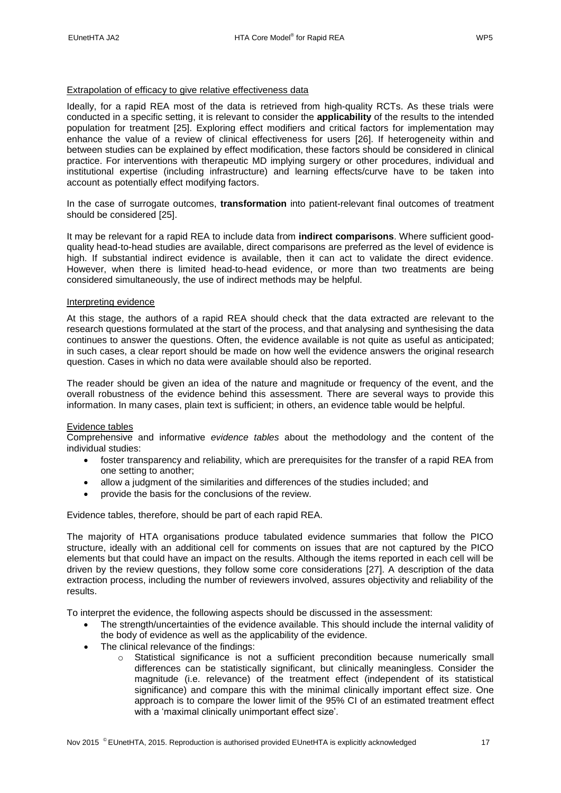#### <span id="page-16-0"></span>Extrapolation of efficacy to give relative effectiveness data

Ideally, for a rapid REA most of the data is retrieved from high-quality RCTs. As these trials were conducted in a specific setting, it is relevant to consider the **applicability** of the results to the intended population for treatment [\[25\]](#page-32-2). Exploring effect modifiers and critical factors for implementation may enhance the value of a review of clinical effectiveness for users [\[26\]](#page-32-3). If heterogeneity within and between studies can be explained by effect modification, these factors should be considered in clinical practice. For interventions with therapeutic MD implying surgery or other procedures, individual and institutional expertise (including infrastructure) and learning effects/curve have to be taken into account as potentially effect modifying factors.

In the case of surrogate outcomes, **transformation** into patient-relevant final outcomes of treatment should be considered [\[25\]](#page-32-2).

It may be relevant for a rapid REA to include data from **indirect comparisons**. Where sufficient goodquality head-to-head studies are available, direct comparisons are preferred as the level of evidence is high. If substantial indirect evidence is available, then it can act to validate the direct evidence. However, when there is limited head-to-head evidence, or more than two treatments are being considered simultaneously, the use of indirect methods may be helpful.

#### <span id="page-16-1"></span>Interpreting evidence

At this stage, the authors of a rapid REA should check that the data extracted are relevant to the research questions formulated at the start of the process, and that analysing and synthesising the data continues to answer the questions. Often, the evidence available is not quite as useful as anticipated; in such cases, a clear report should be made on how well the evidence answers the original research question. Cases in which no data were available should also be reported.

The reader should be given an idea of the nature and magnitude or frequency of the event, and the overall robustness of the evidence behind this assessment. There are several ways to provide this information. In many cases, plain text is sufficient; in others, an evidence table would be helpful.

#### <span id="page-16-2"></span>Evidence tables

Comprehensive and informative *evidence tables* about the methodology and the content of the individual studies:

- foster transparency and reliability, which are prerequisites for the transfer of a rapid REA from one setting to another;
- allow a judgment of the similarities and differences of the studies included; and
- provide the basis for the conclusions of the review.

Evidence tables, therefore, should be part of each rapid REA.

The majority of HTA organisations produce tabulated evidence summaries that follow the PICO structure, ideally with an additional cell for comments on issues that are not captured by the PICO elements but that could have an impact on the results. Although the items reported in each cell will be driven by the review questions, they follow some core considerations [\[27\]](#page-32-4). A description of the data extraction process, including the number of reviewers involved, assures objectivity and reliability of the results.

To interpret the evidence, the following aspects should be discussed in the assessment:

- The strength/uncertainties of the evidence available. This should include the internal validity of the body of evidence as well as the applicability of the evidence.
- The clinical relevance of the findings:
	- o Statistical significance is not a sufficient precondition because numerically small differences can be statistically significant, but clinically meaningless. Consider the magnitude (i.e. relevance) of the treatment effect (independent of its statistical significance) and compare this with the minimal clinically important effect size. One approach is to compare the lower limit of the 95% CI of an estimated treatment effect with a 'maximal clinically unimportant effect size'.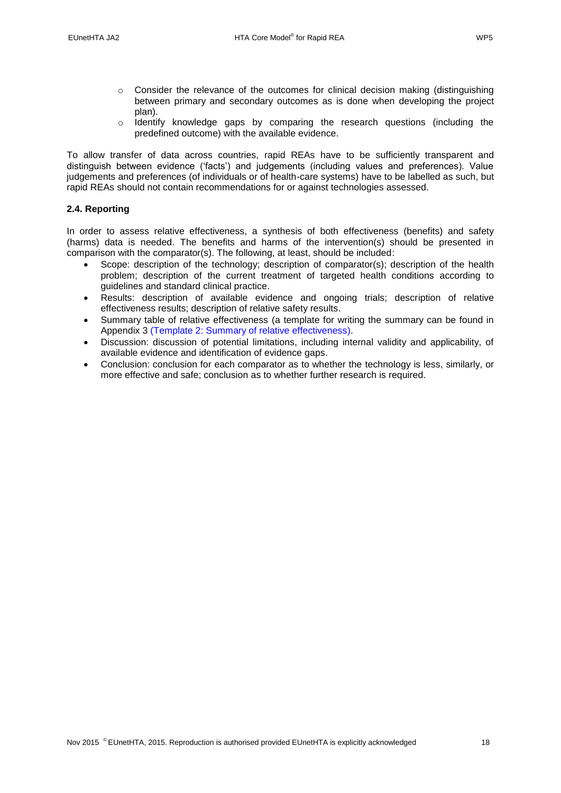- $\circ$  Consider the relevance of the outcomes for clinical decision making (distinguishing between primary and secondary outcomes as is done when developing the project plan).
- o Identify knowledge gaps by comparing the research questions (including the predefined outcome) with the available evidence.

To allow transfer of data across countries, rapid REAs have to be sufficiently transparent and distinguish between evidence ('facts') and judgements (including values and preferences). Value judgements and preferences (of individuals or of health-care systems) have to be labelled as such, but rapid REAs should not contain recommendations for or against technologies assessed.

## <span id="page-17-0"></span>**2.4. Reporting**

In order to assess relative effectiveness, a synthesis of both effectiveness (benefits) and safety (harms) data is needed. The benefits and harms of the intervention(s) should be presented in comparison with the comparator(s). The following, at least, should be included:

- Scope: description of the technology; description of comparator(s); description of the health problem; description of the current treatment of targeted health conditions according to guidelines and standard clinical practice.
- Results: description of available evidence and ongoing trials; description of relative effectiveness results; description of relative safety results.
- Summary table of relative effectiveness (a template for writing the summary can be found in Appendix 3 [\(Template 2: Summary of relative effectiveness\)](#page-36-0).
- Discussion: discussion of potential limitations, including internal validity and applicability, of available evidence and identification of evidence gaps.
- Conclusion: conclusion for each comparator as to whether the technology is less, similarly, or more effective and safe; conclusion as to whether further research is required.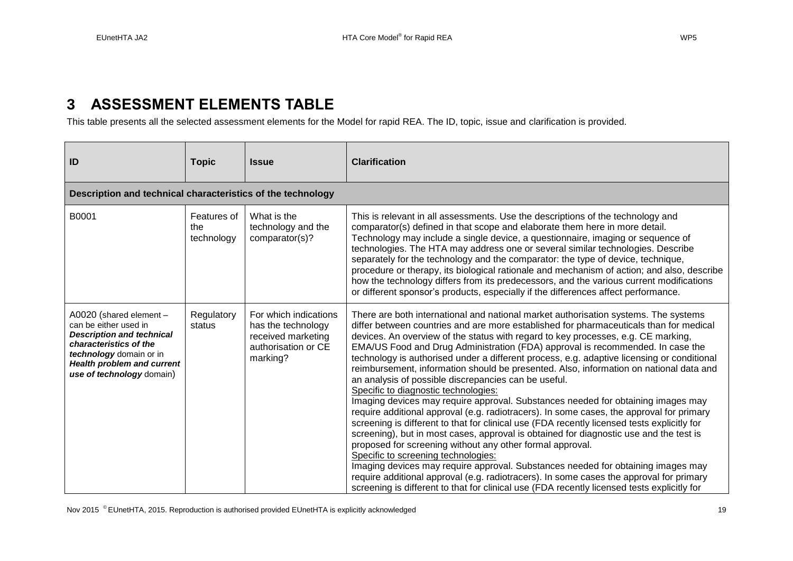# **3 ASSESSMENT ELEMENTS TABLE**

This table presents all the selected assessment elements for the Model for rapid REA. The ID, topic, issue and clarification is provided.

<span id="page-18-0"></span>

| ID                                                                                                                                                                                                          | <b>Topic</b>                     | <b>Issue</b>                                                                                         | <b>Clarification</b>                                                                                                                                                                                                                                                                                                                                                                                                                                                                                                                                                                                                                                                                                                                                                                                                                                                                                                                                                                                                                                                                                                                                                                                                                                                                                                                                                                                    |
|-------------------------------------------------------------------------------------------------------------------------------------------------------------------------------------------------------------|----------------------------------|------------------------------------------------------------------------------------------------------|---------------------------------------------------------------------------------------------------------------------------------------------------------------------------------------------------------------------------------------------------------------------------------------------------------------------------------------------------------------------------------------------------------------------------------------------------------------------------------------------------------------------------------------------------------------------------------------------------------------------------------------------------------------------------------------------------------------------------------------------------------------------------------------------------------------------------------------------------------------------------------------------------------------------------------------------------------------------------------------------------------------------------------------------------------------------------------------------------------------------------------------------------------------------------------------------------------------------------------------------------------------------------------------------------------------------------------------------------------------------------------------------------------|
| Description and technical characteristics of the technology                                                                                                                                                 |                                  |                                                                                                      |                                                                                                                                                                                                                                                                                                                                                                                                                                                                                                                                                                                                                                                                                                                                                                                                                                                                                                                                                                                                                                                                                                                                                                                                                                                                                                                                                                                                         |
| B0001                                                                                                                                                                                                       | Features of<br>the<br>technology | What is the<br>technology and the<br>comparator(s)?                                                  | This is relevant in all assessments. Use the descriptions of the technology and<br>comparator(s) defined in that scope and elaborate them here in more detail.<br>Technology may include a single device, a questionnaire, imaging or sequence of<br>technologies. The HTA may address one or several similar technologies. Describe<br>separately for the technology and the comparator: the type of device, technique,<br>procedure or therapy, its biological rationale and mechanism of action; and also, describe<br>how the technology differs from its predecessors, and the various current modifications<br>or different sponsor's products, especially if the differences affect performance.                                                                                                                                                                                                                                                                                                                                                                                                                                                                                                                                                                                                                                                                                                 |
| A0020 (shared element -<br>can be either used in<br><b>Description and technical</b><br>characteristics of the<br>technology domain or in<br><b>Health problem and current</b><br>use of technology domain) | Regulatory<br>status             | For which indications<br>has the technology<br>received marketing<br>authorisation or CE<br>marking? | There are both international and national market authorisation systems. The systems<br>differ between countries and are more established for pharmaceuticals than for medical<br>devices. An overview of the status with regard to key processes, e.g. CE marking,<br>EMA/US Food and Drug Administration (FDA) approval is recommended. In case the<br>technology is authorised under a different process, e.g. adaptive licensing or conditional<br>reimbursement, information should be presented. Also, information on national data and<br>an analysis of possible discrepancies can be useful.<br>Specific to diagnostic technologies:<br>Imaging devices may require approval. Substances needed for obtaining images may<br>require additional approval (e.g. radiotracers). In some cases, the approval for primary<br>screening is different to that for clinical use (FDA recently licensed tests explicitly for<br>screening), but in most cases, approval is obtained for diagnostic use and the test is<br>proposed for screening without any other formal approval.<br>Specific to screening technologies:<br>Imaging devices may require approval. Substances needed for obtaining images may<br>require additional approval (e.g. radiotracers). In some cases the approval for primary<br>screening is different to that for clinical use (FDA recently licensed tests explicitly for |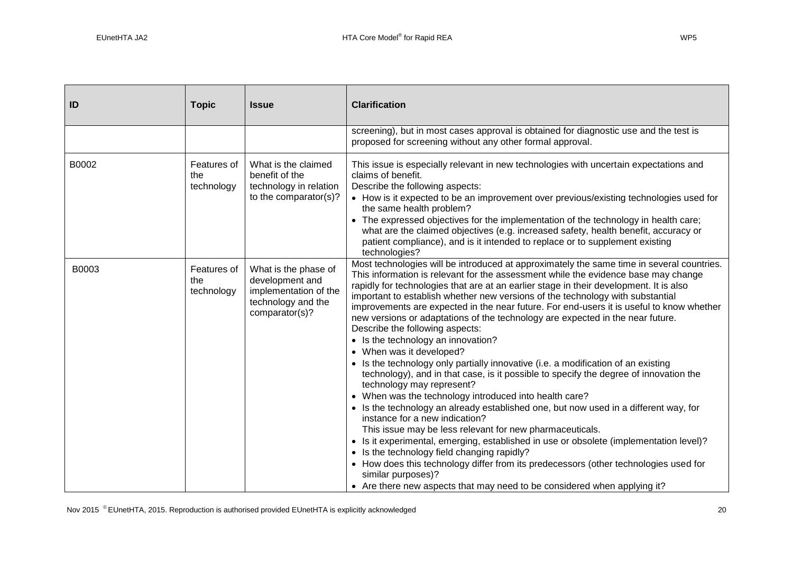| ID    | <b>Topic</b>                     | <b>Issue</b>                                                                                             | <b>Clarification</b>                                                                                                                                                                                                                                                                                                                                                                                                                                                                                                                                                                                                                                                                                                                                                                                                                                                                                                                                                                                                                                                                                                                                                                                                                                                                                                                                                                                                                         |
|-------|----------------------------------|----------------------------------------------------------------------------------------------------------|----------------------------------------------------------------------------------------------------------------------------------------------------------------------------------------------------------------------------------------------------------------------------------------------------------------------------------------------------------------------------------------------------------------------------------------------------------------------------------------------------------------------------------------------------------------------------------------------------------------------------------------------------------------------------------------------------------------------------------------------------------------------------------------------------------------------------------------------------------------------------------------------------------------------------------------------------------------------------------------------------------------------------------------------------------------------------------------------------------------------------------------------------------------------------------------------------------------------------------------------------------------------------------------------------------------------------------------------------------------------------------------------------------------------------------------------|
|       |                                  |                                                                                                          | screening), but in most cases approval is obtained for diagnostic use and the test is<br>proposed for screening without any other formal approval.                                                                                                                                                                                                                                                                                                                                                                                                                                                                                                                                                                                                                                                                                                                                                                                                                                                                                                                                                                                                                                                                                                                                                                                                                                                                                           |
| B0002 | Features of<br>the<br>technology | What is the claimed<br>benefit of the<br>technology in relation<br>to the comparator(s)?                 | This issue is especially relevant in new technologies with uncertain expectations and<br>claims of benefit.<br>Describe the following aspects:<br>• How is it expected to be an improvement over previous/existing technologies used for<br>the same health problem?<br>• The expressed objectives for the implementation of the technology in health care;<br>what are the claimed objectives (e.g. increased safety, health benefit, accuracy or<br>patient compliance), and is it intended to replace or to supplement existing<br>technologies?                                                                                                                                                                                                                                                                                                                                                                                                                                                                                                                                                                                                                                                                                                                                                                                                                                                                                          |
| B0003 | Features of<br>the<br>technology | What is the phase of<br>development and<br>implementation of the<br>technology and the<br>comparator(s)? | Most technologies will be introduced at approximately the same time in several countries.<br>This information is relevant for the assessment while the evidence base may change<br>rapidly for technologies that are at an earlier stage in their development. It is also<br>important to establish whether new versions of the technology with substantial<br>improvements are expected in the near future. For end-users it is useful to know whether<br>new versions or adaptations of the technology are expected in the near future.<br>Describe the following aspects:<br>• Is the technology an innovation?<br>• When was it developed?<br>• Is the technology only partially innovative (i.e. a modification of an existing<br>technology), and in that case, is it possible to specify the degree of innovation the<br>technology may represent?<br>• When was the technology introduced into health care?<br>• Is the technology an already established one, but now used in a different way, for<br>instance for a new indication?<br>This issue may be less relevant for new pharmaceuticals.<br>• Is it experimental, emerging, established in use or obsolete (implementation level)?<br>• Is the technology field changing rapidly?<br>• How does this technology differ from its predecessors (other technologies used for<br>similar purposes)?<br>• Are there new aspects that may need to be considered when applying it? |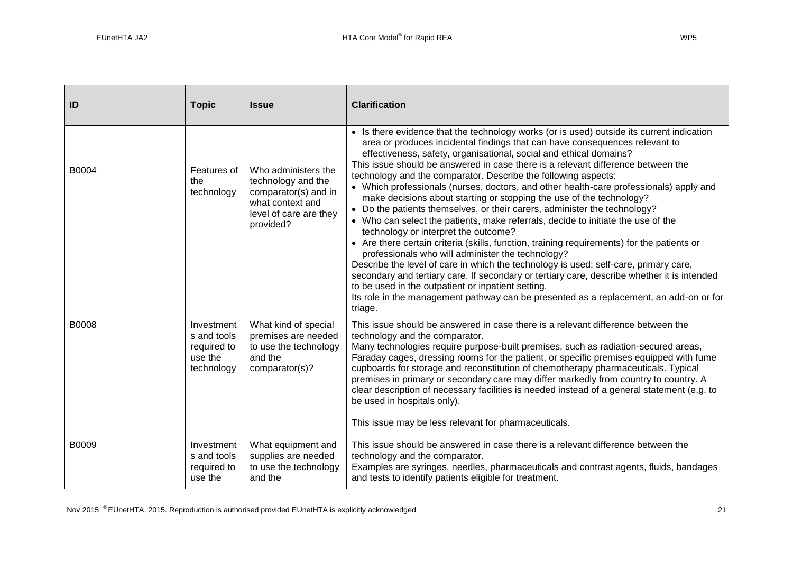| ID    | <b>Topic</b>                                                      | <b>Issue</b>                                                                                                                 | <b>Clarification</b>                                                                                                                                                                                                                                                                                                                                                                                                                                                                                                                                                                                                                                                                                                                                                                                                                                                                                                                                                                                                               |
|-------|-------------------------------------------------------------------|------------------------------------------------------------------------------------------------------------------------------|------------------------------------------------------------------------------------------------------------------------------------------------------------------------------------------------------------------------------------------------------------------------------------------------------------------------------------------------------------------------------------------------------------------------------------------------------------------------------------------------------------------------------------------------------------------------------------------------------------------------------------------------------------------------------------------------------------------------------------------------------------------------------------------------------------------------------------------------------------------------------------------------------------------------------------------------------------------------------------------------------------------------------------|
|       |                                                                   |                                                                                                                              | • Is there evidence that the technology works (or is used) outside its current indication<br>area or produces incidental findings that can have consequences relevant to<br>effectiveness, safety, organisational, social and ethical domains?                                                                                                                                                                                                                                                                                                                                                                                                                                                                                                                                                                                                                                                                                                                                                                                     |
| B0004 | Features of<br>the<br>technology                                  | Who administers the<br>technology and the<br>comparator(s) and in<br>what context and<br>level of care are they<br>provided? | This issue should be answered in case there is a relevant difference between the<br>technology and the comparator. Describe the following aspects:<br>• Which professionals (nurses, doctors, and other health-care professionals) apply and<br>make decisions about starting or stopping the use of the technology?<br>• Do the patients themselves, or their carers, administer the technology?<br>• Who can select the patients, make referrals, decide to initiate the use of the<br>technology or interpret the outcome?<br>• Are there certain criteria (skills, function, training requirements) for the patients or<br>professionals who will administer the technology?<br>Describe the level of care in which the technology is used: self-care, primary care,<br>secondary and tertiary care. If secondary or tertiary care, describe whether it is intended<br>to be used in the outpatient or inpatient setting.<br>Its role in the management pathway can be presented as a replacement, an add-on or for<br>triage. |
| B0008 | Investment<br>s and tools<br>required to<br>use the<br>technology | What kind of special<br>premises are needed<br>to use the technology<br>and the<br>comparator(s)?                            | This issue should be answered in case there is a relevant difference between the<br>technology and the comparator.<br>Many technologies require purpose-built premises, such as radiation-secured areas,<br>Faraday cages, dressing rooms for the patient, or specific premises equipped with fume<br>cupboards for storage and reconstitution of chemotherapy pharmaceuticals. Typical<br>premises in primary or secondary care may differ markedly from country to country. A<br>clear description of necessary facilities is needed instead of a general statement (e.g. to<br>be used in hospitals only).<br>This issue may be less relevant for pharmaceuticals.                                                                                                                                                                                                                                                                                                                                                              |
| B0009 | Investment<br>s and tools<br>required to<br>use the               | What equipment and<br>supplies are needed<br>to use the technology<br>and the                                                | This issue should be answered in case there is a relevant difference between the<br>technology and the comparator.<br>Examples are syringes, needles, pharmaceuticals and contrast agents, fluids, bandages<br>and tests to identify patients eligible for treatment.                                                                                                                                                                                                                                                                                                                                                                                                                                                                                                                                                                                                                                                                                                                                                              |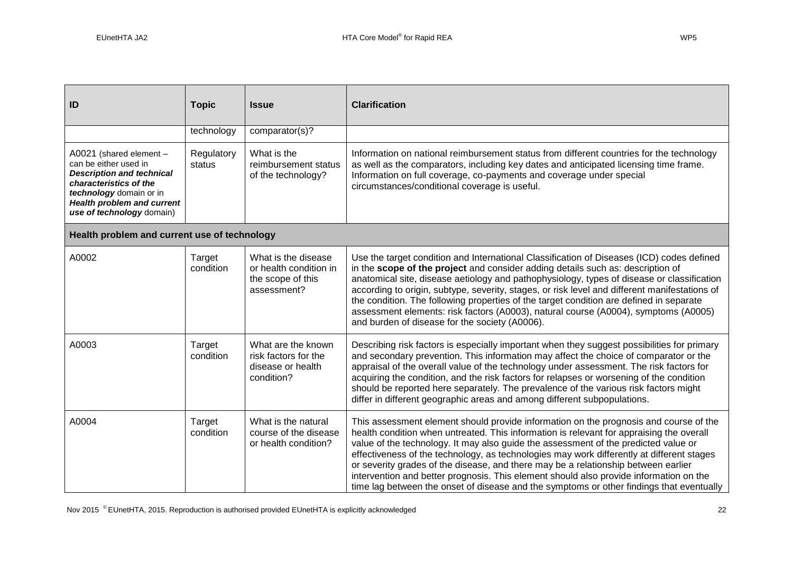| ID                                                                                                                                                                                                          | <b>Topic</b>         | <b>Issue</b>                                                                      | <b>Clarification</b>                                                                                                                                                                                                                                                                                                                                                                                                                                                                                                                                                                                                                              |
|-------------------------------------------------------------------------------------------------------------------------------------------------------------------------------------------------------------|----------------------|-----------------------------------------------------------------------------------|---------------------------------------------------------------------------------------------------------------------------------------------------------------------------------------------------------------------------------------------------------------------------------------------------------------------------------------------------------------------------------------------------------------------------------------------------------------------------------------------------------------------------------------------------------------------------------------------------------------------------------------------------|
|                                                                                                                                                                                                             | technology           | comparator(s)?                                                                    |                                                                                                                                                                                                                                                                                                                                                                                                                                                                                                                                                                                                                                                   |
| A0021 (shared element -<br>can be either used in<br><b>Description and technical</b><br>characteristics of the<br>technology domain or in<br><b>Health problem and current</b><br>use of technology domain) | Regulatory<br>status | What is the<br>reimbursement status<br>of the technology?                         | Information on national reimbursement status from different countries for the technology<br>as well as the comparators, including key dates and anticipated licensing time frame.<br>Information on full coverage, co-payments and coverage under special<br>circumstances/conditional coverage is useful.                                                                                                                                                                                                                                                                                                                                        |
| Health problem and current use of technology                                                                                                                                                                |                      |                                                                                   |                                                                                                                                                                                                                                                                                                                                                                                                                                                                                                                                                                                                                                                   |
| A0002                                                                                                                                                                                                       | Target<br>condition  | What is the disease<br>or health condition in<br>the scope of this<br>assessment? | Use the target condition and International Classification of Diseases (ICD) codes defined<br>in the scope of the project and consider adding details such as: description of<br>anatomical site, disease aetiology and pathophysiology, types of disease or classification<br>according to origin, subtype, severity, stages, or risk level and different manifestations of<br>the condition. The following properties of the target condition are defined in separate<br>assessment elements: risk factors (A0003), natural course (A0004), symptoms (A0005)<br>and burden of disease for the society (A0006).                                   |
| A0003                                                                                                                                                                                                       | Target<br>condition  | What are the known<br>risk factors for the<br>disease or health<br>condition?     | Describing risk factors is especially important when they suggest possibilities for primary<br>and secondary prevention. This information may affect the choice of comparator or the<br>appraisal of the overall value of the technology under assessment. The risk factors for<br>acquiring the condition, and the risk factors for relapses or worsening of the condition<br>should be reported here separately. The prevalence of the various risk factors might<br>differ in different geographic areas and among different subpopulations.                                                                                                   |
| A0004                                                                                                                                                                                                       | Target<br>condition  | What is the natural<br>course of the disease<br>or health condition?              | This assessment element should provide information on the prognosis and course of the<br>health condition when untreated. This information is relevant for appraising the overall<br>value of the technology. It may also guide the assessment of the predicted value or<br>effectiveness of the technology, as technologies may work differently at different stages<br>or severity grades of the disease, and there may be a relationship between earlier<br>intervention and better prognosis. This element should also provide information on the<br>time lag between the onset of disease and the symptoms or other findings that eventually |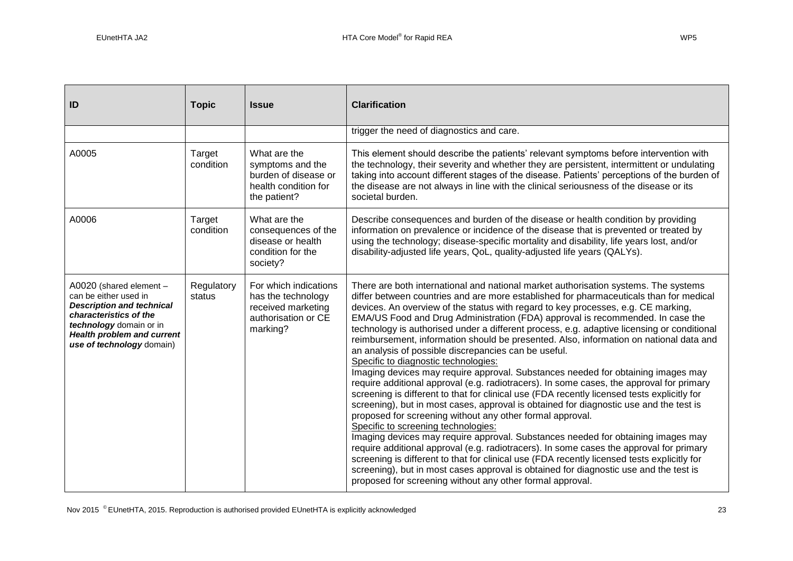|  | ×<br>۰. |
|--|---------|
|--|---------|

| ID                                                                                                                                                                                                          | <b>Topic</b>         | <b>Issue</b>                                                                                         | <b>Clarification</b>                                                                                                                                                                                                                                                                                                                                                                                                                                                                                                                                                                                                                                                                                                                                                                                                                                                                                                                                                                                                                                                                                                                                                                                                                                                                                                                                                                                                                                                                                                                                          |
|-------------------------------------------------------------------------------------------------------------------------------------------------------------------------------------------------------------|----------------------|------------------------------------------------------------------------------------------------------|---------------------------------------------------------------------------------------------------------------------------------------------------------------------------------------------------------------------------------------------------------------------------------------------------------------------------------------------------------------------------------------------------------------------------------------------------------------------------------------------------------------------------------------------------------------------------------------------------------------------------------------------------------------------------------------------------------------------------------------------------------------------------------------------------------------------------------------------------------------------------------------------------------------------------------------------------------------------------------------------------------------------------------------------------------------------------------------------------------------------------------------------------------------------------------------------------------------------------------------------------------------------------------------------------------------------------------------------------------------------------------------------------------------------------------------------------------------------------------------------------------------------------------------------------------------|
|                                                                                                                                                                                                             |                      |                                                                                                      | trigger the need of diagnostics and care.                                                                                                                                                                                                                                                                                                                                                                                                                                                                                                                                                                                                                                                                                                                                                                                                                                                                                                                                                                                                                                                                                                                                                                                                                                                                                                                                                                                                                                                                                                                     |
| A0005                                                                                                                                                                                                       | Target<br>condition  | What are the<br>symptoms and the<br>burden of disease or<br>health condition for<br>the patient?     | This element should describe the patients' relevant symptoms before intervention with<br>the technology, their severity and whether they are persistent, intermittent or undulating<br>taking into account different stages of the disease. Patients' perceptions of the burden of<br>the disease are not always in line with the clinical seriousness of the disease or its<br>societal burden.                                                                                                                                                                                                                                                                                                                                                                                                                                                                                                                                                                                                                                                                                                                                                                                                                                                                                                                                                                                                                                                                                                                                                              |
| A0006                                                                                                                                                                                                       | Target<br>condition  | What are the<br>consequences of the<br>disease or health<br>condition for the<br>society?            | Describe consequences and burden of the disease or health condition by providing<br>information on prevalence or incidence of the disease that is prevented or treated by<br>using the technology; disease-specific mortality and disability, life years lost, and/or<br>disability-adjusted life years, QoL, quality-adjusted life years (QALYs).                                                                                                                                                                                                                                                                                                                                                                                                                                                                                                                                                                                                                                                                                                                                                                                                                                                                                                                                                                                                                                                                                                                                                                                                            |
| A0020 (shared element -<br>can be either used in<br><b>Description and technical</b><br>characteristics of the<br>technology domain or in<br><b>Health problem and current</b><br>use of technology domain) | Regulatory<br>status | For which indications<br>has the technology<br>received marketing<br>authorisation or CE<br>marking? | There are both international and national market authorisation systems. The systems<br>differ between countries and are more established for pharmaceuticals than for medical<br>devices. An overview of the status with regard to key processes, e.g. CE marking,<br>EMA/US Food and Drug Administration (FDA) approval is recommended. In case the<br>technology is authorised under a different process, e.g. adaptive licensing or conditional<br>reimbursement, information should be presented. Also, information on national data and<br>an analysis of possible discrepancies can be useful.<br>Specific to diagnostic technologies:<br>Imaging devices may require approval. Substances needed for obtaining images may<br>require additional approval (e.g. radiotracers). In some cases, the approval for primary<br>screening is different to that for clinical use (FDA recently licensed tests explicitly for<br>screening), but in most cases, approval is obtained for diagnostic use and the test is<br>proposed for screening without any other formal approval.<br>Specific to screening technologies:<br>Imaging devices may require approval. Substances needed for obtaining images may<br>require additional approval (e.g. radiotracers). In some cases the approval for primary<br>screening is different to that for clinical use (FDA recently licensed tests explicitly for<br>screening), but in most cases approval is obtained for diagnostic use and the test is<br>proposed for screening without any other formal approval. |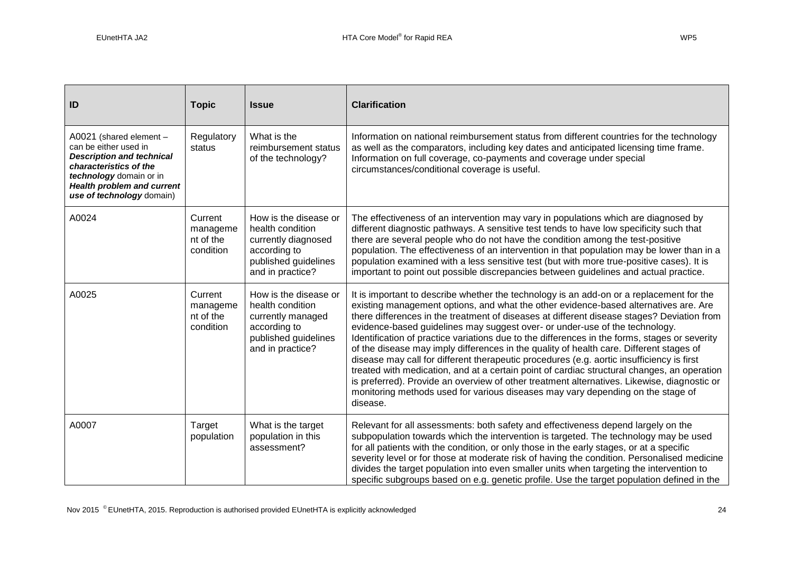| ID                                                                                                                                                                                                          | <b>Topic</b>                                  | <b>Issue</b>                                                                                                                 | <b>Clarification</b>                                                                                                                                                                                                                                                                                                                                                                                                                                                                                                                                                                                                                                                                                                                                                                                                                                                                                                                                |
|-------------------------------------------------------------------------------------------------------------------------------------------------------------------------------------------------------------|-----------------------------------------------|------------------------------------------------------------------------------------------------------------------------------|-----------------------------------------------------------------------------------------------------------------------------------------------------------------------------------------------------------------------------------------------------------------------------------------------------------------------------------------------------------------------------------------------------------------------------------------------------------------------------------------------------------------------------------------------------------------------------------------------------------------------------------------------------------------------------------------------------------------------------------------------------------------------------------------------------------------------------------------------------------------------------------------------------------------------------------------------------|
| A0021 (shared element -<br>can be either used in<br><b>Description and technical</b><br>characteristics of the<br>technology domain or in<br><b>Health problem and current</b><br>use of technology domain) | Regulatory<br>status                          | What is the<br>reimbursement status<br>of the technology?                                                                    | Information on national reimbursement status from different countries for the technology<br>as well as the comparators, including key dates and anticipated licensing time frame.<br>Information on full coverage, co-payments and coverage under special<br>circumstances/conditional coverage is useful.                                                                                                                                                                                                                                                                                                                                                                                                                                                                                                                                                                                                                                          |
| A0024                                                                                                                                                                                                       | Current<br>manageme<br>nt of the<br>condition | How is the disease or<br>health condition<br>currently diagnosed<br>according to<br>published guidelines<br>and in practice? | The effectiveness of an intervention may vary in populations which are diagnosed by<br>different diagnostic pathways. A sensitive test tends to have low specificity such that<br>there are several people who do not have the condition among the test-positive<br>population. The effectiveness of an intervention in that population may be lower than in a<br>population examined with a less sensitive test (but with more true-positive cases). It is<br>important to point out possible discrepancies between guidelines and actual practice.                                                                                                                                                                                                                                                                                                                                                                                                |
| A0025                                                                                                                                                                                                       | Current<br>manageme<br>nt of the<br>condition | How is the disease or<br>health condition<br>currently managed<br>according to<br>published guidelines<br>and in practice?   | It is important to describe whether the technology is an add-on or a replacement for the<br>existing management options, and what the other evidence-based alternatives are. Are<br>there differences in the treatment of diseases at different disease stages? Deviation from<br>evidence-based guidelines may suggest over- or under-use of the technology.<br>Identification of practice variations due to the differences in the forms, stages or severity<br>of the disease may imply differences in the quality of health care. Different stages of<br>disease may call for different therapeutic procedures (e.g. aortic insufficiency is first<br>treated with medication, and at a certain point of cardiac structural changes, an operation<br>is preferred). Provide an overview of other treatment alternatives. Likewise, diagnostic or<br>monitoring methods used for various diseases may vary depending on the stage of<br>disease. |
| A0007                                                                                                                                                                                                       | Target<br>population                          | What is the target<br>population in this<br>assessment?                                                                      | Relevant for all assessments: both safety and effectiveness depend largely on the<br>subpopulation towards which the intervention is targeted. The technology may be used<br>for all patients with the condition, or only those in the early stages, or at a specific<br>severity level or for those at moderate risk of having the condition. Personalised medicine<br>divides the target population into even smaller units when targeting the intervention to<br>specific subgroups based on e.g. genetic profile. Use the target population defined in the                                                                                                                                                                                                                                                                                                                                                                                      |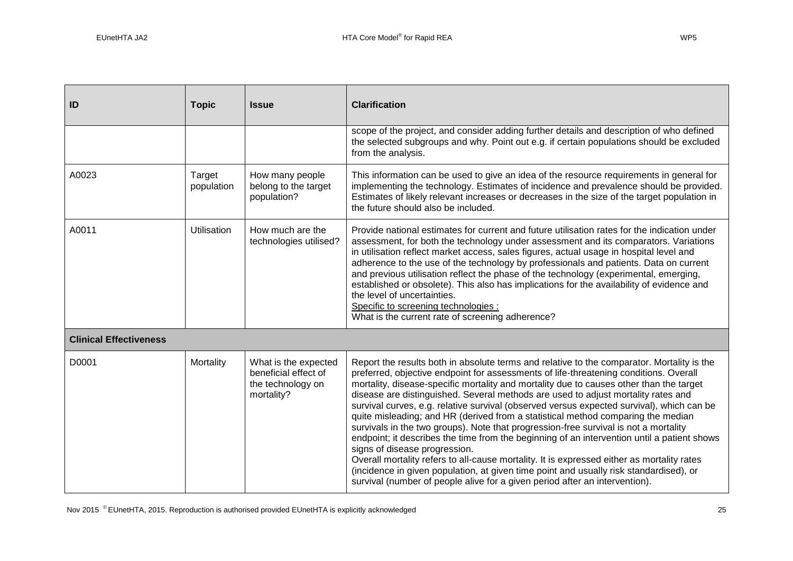| ID                            | <b>Topic</b>         | <b>Issue</b>                                                                    | <b>Clarification</b>                                                                                                                                                                                                                                                                                                                                                                                                                                                                                                                                                                                                                                                                                                                                                                                                                                                                                                                                                                                                                                |  |  |
|-------------------------------|----------------------|---------------------------------------------------------------------------------|-----------------------------------------------------------------------------------------------------------------------------------------------------------------------------------------------------------------------------------------------------------------------------------------------------------------------------------------------------------------------------------------------------------------------------------------------------------------------------------------------------------------------------------------------------------------------------------------------------------------------------------------------------------------------------------------------------------------------------------------------------------------------------------------------------------------------------------------------------------------------------------------------------------------------------------------------------------------------------------------------------------------------------------------------------|--|--|
|                               |                      |                                                                                 | scope of the project, and consider adding further details and description of who defined<br>the selected subgroups and why. Point out e.g. if certain populations should be excluded<br>from the analysis.                                                                                                                                                                                                                                                                                                                                                                                                                                                                                                                                                                                                                                                                                                                                                                                                                                          |  |  |
| A0023                         | Target<br>population | How many people<br>belong to the target<br>population?                          | This information can be used to give an idea of the resource requirements in general for<br>implementing the technology. Estimates of incidence and prevalence should be provided.<br>Estimates of likely relevant increases or decreases in the size of the target population in<br>the future should also be included.                                                                                                                                                                                                                                                                                                                                                                                                                                                                                                                                                                                                                                                                                                                            |  |  |
| A0011                         | <b>Utilisation</b>   | How much are the<br>technologies utilised?                                      | Provide national estimates for current and future utilisation rates for the indication under<br>assessment, for both the technology under assessment and its comparators. Variations<br>in utilisation reflect market access, sales figures, actual usage in hospital level and<br>adherence to the use of the technology by professionals and patients. Data on current<br>and previous utilisation reflect the phase of the technology (experimental, emerging,<br>established or obsolete). This also has implications for the availability of evidence and<br>the level of uncertainties.<br>Specific to screening technologies :<br>What is the current rate of screening adherence?                                                                                                                                                                                                                                                                                                                                                           |  |  |
| <b>Clinical Effectiveness</b> |                      |                                                                                 |                                                                                                                                                                                                                                                                                                                                                                                                                                                                                                                                                                                                                                                                                                                                                                                                                                                                                                                                                                                                                                                     |  |  |
| D0001                         | Mortality            | What is the expected<br>beneficial effect of<br>the technology on<br>mortality? | Report the results both in absolute terms and relative to the comparator. Mortality is the<br>preferred, objective endpoint for assessments of life-threatening conditions. Overall<br>mortality, disease-specific mortality and mortality due to causes other than the target<br>disease are distinguished. Several methods are used to adjust mortality rates and<br>survival curves, e.g. relative survival (observed versus expected survival), which can be<br>quite misleading; and HR (derived from a statistical method comparing the median<br>survivals in the two groups). Note that progression-free survival is not a mortality<br>endpoint; it describes the time from the beginning of an intervention until a patient shows<br>signs of disease progression.<br>Overall mortality refers to all-cause mortality. It is expressed either as mortality rates<br>(incidence in given population, at given time point and usually risk standardised), or<br>survival (number of people alive for a given period after an intervention). |  |  |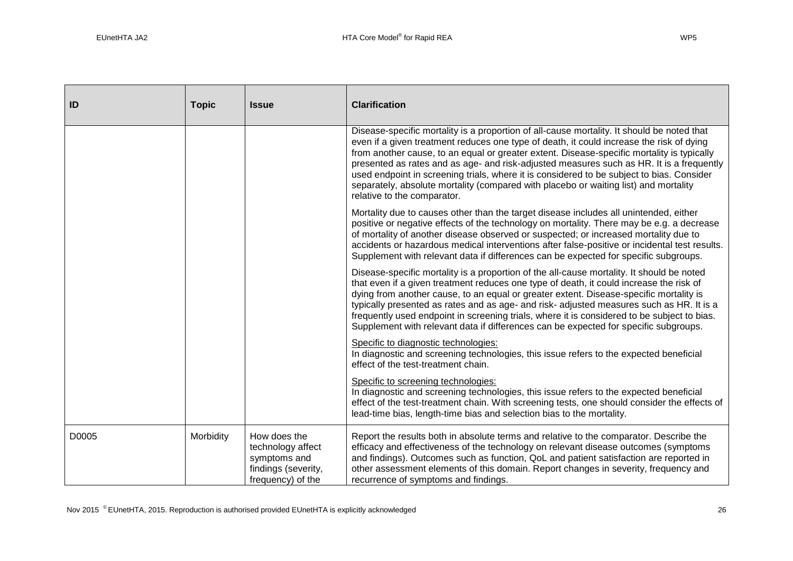| ID    | <b>Topic</b> | <b>Issue</b>                                                                                  | <b>Clarification</b>                                                                                                                                                                                                                                                                                                                                                                                                                                                                                                                                                                                 |  |
|-------|--------------|-----------------------------------------------------------------------------------------------|------------------------------------------------------------------------------------------------------------------------------------------------------------------------------------------------------------------------------------------------------------------------------------------------------------------------------------------------------------------------------------------------------------------------------------------------------------------------------------------------------------------------------------------------------------------------------------------------------|--|
|       |              |                                                                                               | Disease-specific mortality is a proportion of all-cause mortality. It should be noted that<br>even if a given treatment reduces one type of death, it could increase the risk of dying<br>from another cause, to an equal or greater extent. Disease-specific mortality is typically<br>presented as rates and as age- and risk-adjusted measures such as HR. It is a frequently<br>used endpoint in screening trials, where it is considered to be subject to bias. Consider<br>separately, absolute mortality (compared with placebo or waiting list) and mortality<br>relative to the comparator. |  |
|       |              |                                                                                               | Mortality due to causes other than the target disease includes all unintended, either<br>positive or negative effects of the technology on mortality. There may be e.g. a decrease<br>of mortality of another disease observed or suspected; or increased mortality due to<br>accidents or hazardous medical interventions after false-positive or incidental test results.<br>Supplement with relevant data if differences can be expected for specific subgroups.                                                                                                                                  |  |
|       |              |                                                                                               | Disease-specific mortality is a proportion of the all-cause mortality. It should be noted<br>that even if a given treatment reduces one type of death, it could increase the risk of<br>dying from another cause, to an equal or greater extent. Disease-specific mortality is<br>typically presented as rates and as age- and risk- adjusted measures such as HR. It is a<br>frequently used endpoint in screening trials, where it is considered to be subject to bias.<br>Supplement with relevant data if differences can be expected for specific subgroups.                                    |  |
|       |              |                                                                                               | Specific to diagnostic technologies:<br>In diagnostic and screening technologies, this issue refers to the expected beneficial<br>effect of the test-treatment chain.                                                                                                                                                                                                                                                                                                                                                                                                                                |  |
|       |              |                                                                                               | Specific to screening technologies:<br>In diagnostic and screening technologies, this issue refers to the expected beneficial<br>effect of the test-treatment chain. With screening tests, one should consider the effects of<br>lead-time bias, length-time bias and selection bias to the mortality.                                                                                                                                                                                                                                                                                               |  |
| D0005 | Morbidity    | How does the<br>technology affect<br>symptoms and<br>findings (severity,<br>frequency) of the | Report the results both in absolute terms and relative to the comparator. Describe the<br>efficacy and effectiveness of the technology on relevant disease outcomes (symptoms<br>and findings). Outcomes such as function, QoL and patient satisfaction are reported in<br>other assessment elements of this domain. Report changes in severity, frequency and<br>recurrence of symptoms and findings.                                                                                                                                                                                               |  |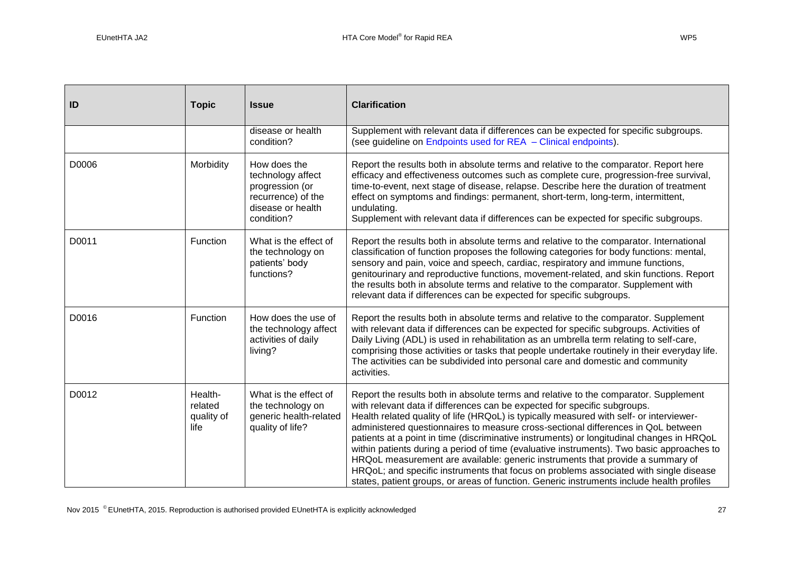| ID    | <b>Topic</b>                             | <b>Issue</b>                                                                                                  | <b>Clarification</b>                                                                                                                                                                                                                                                                                                                                                                                                                                                                                                                                                                                                                                                                                                                                                                                                |  |  |
|-------|------------------------------------------|---------------------------------------------------------------------------------------------------------------|---------------------------------------------------------------------------------------------------------------------------------------------------------------------------------------------------------------------------------------------------------------------------------------------------------------------------------------------------------------------------------------------------------------------------------------------------------------------------------------------------------------------------------------------------------------------------------------------------------------------------------------------------------------------------------------------------------------------------------------------------------------------------------------------------------------------|--|--|
|       |                                          | disease or health<br>condition?                                                                               | Supplement with relevant data if differences can be expected for specific subgroups.<br>(see guideline on Endpoints used for REA - Clinical endpoints).                                                                                                                                                                                                                                                                                                                                                                                                                                                                                                                                                                                                                                                             |  |  |
| D0006 | Morbidity                                | How does the<br>technology affect<br>progression (or<br>recurrence) of the<br>disease or health<br>condition? | Report the results both in absolute terms and relative to the comparator. Report here<br>efficacy and effectiveness outcomes such as complete cure, progression-free survival,<br>time-to-event, next stage of disease, relapse. Describe here the duration of treatment<br>effect on symptoms and findings: permanent, short-term, long-term, intermittent,<br>undulating.<br>Supplement with relevant data if differences can be expected for specific subgroups.                                                                                                                                                                                                                                                                                                                                                 |  |  |
| D0011 | Function                                 | What is the effect of<br>the technology on<br>patients' body<br>functions?                                    | Report the results both in absolute terms and relative to the comparator. International<br>classification of function proposes the following categories for body functions: mental,<br>sensory and pain, voice and speech, cardiac, respiratory and immune functions,<br>genitourinary and reproductive functions, movement-related, and skin functions. Report<br>the results both in absolute terms and relative to the comparator. Supplement with<br>relevant data if differences can be expected for specific subgroups.                                                                                                                                                                                                                                                                                       |  |  |
| D0016 | Function                                 | How does the use of<br>the technology affect<br>activities of daily<br>living?                                | Report the results both in absolute terms and relative to the comparator. Supplement<br>with relevant data if differences can be expected for specific subgroups. Activities of<br>Daily Living (ADL) is used in rehabilitation as an umbrella term relating to self-care,<br>comprising those activities or tasks that people undertake routinely in their everyday life.<br>The activities can be subdivided into personal care and domestic and community<br>activities.                                                                                                                                                                                                                                                                                                                                         |  |  |
| D0012 | Health-<br>related<br>quality of<br>life | What is the effect of<br>the technology on<br>generic health-related<br>quality of life?                      | Report the results both in absolute terms and relative to the comparator. Supplement<br>with relevant data if differences can be expected for specific subgroups.<br>Health related quality of life (HRQoL) is typically measured with self- or interviewer-<br>administered questionnaires to measure cross-sectional differences in QoL between<br>patients at a point in time (discriminative instruments) or longitudinal changes in HRQoL<br>within patients during a period of time (evaluative instruments). Two basic approaches to<br>HRQoL measurement are available: generic instruments that provide a summary of<br>HRQoL; and specific instruments that focus on problems associated with single disease<br>states, patient groups, or areas of function. Generic instruments include health profiles |  |  |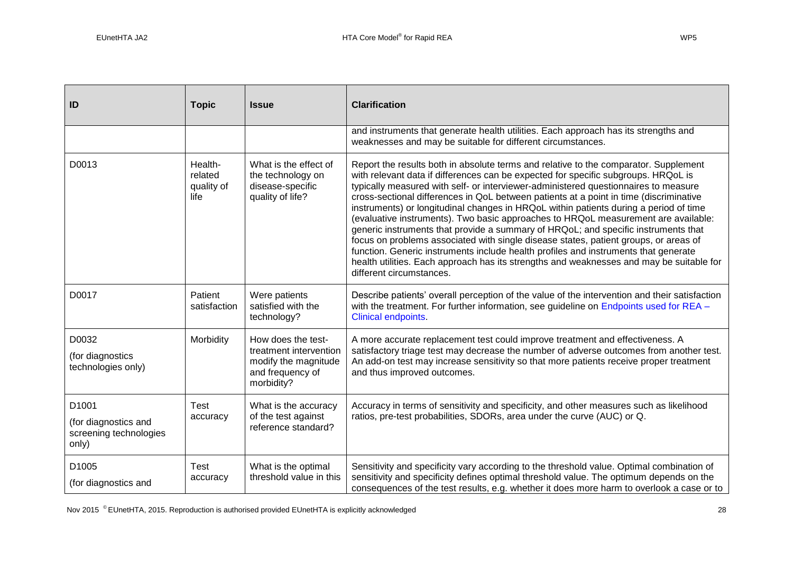| ID                                                               | <b>Topic</b>                             | <b>Issue</b>                                                                                           | <b>Clarification</b>                                                                                                                                                                                                                                                                                                                                                                                                                                                                                                                                                                                                                                                                                                                                                                                                                                                                                                                    |  |
|------------------------------------------------------------------|------------------------------------------|--------------------------------------------------------------------------------------------------------|-----------------------------------------------------------------------------------------------------------------------------------------------------------------------------------------------------------------------------------------------------------------------------------------------------------------------------------------------------------------------------------------------------------------------------------------------------------------------------------------------------------------------------------------------------------------------------------------------------------------------------------------------------------------------------------------------------------------------------------------------------------------------------------------------------------------------------------------------------------------------------------------------------------------------------------------|--|
|                                                                  |                                          |                                                                                                        | and instruments that generate health utilities. Each approach has its strengths and<br>weaknesses and may be suitable for different circumstances.                                                                                                                                                                                                                                                                                                                                                                                                                                                                                                                                                                                                                                                                                                                                                                                      |  |
| D0013                                                            | Health-<br>related<br>quality of<br>life | What is the effect of<br>the technology on<br>disease-specific<br>quality of life?                     | Report the results both in absolute terms and relative to the comparator. Supplement<br>with relevant data if differences can be expected for specific subgroups. HRQoL is<br>typically measured with self- or interviewer-administered questionnaires to measure<br>cross-sectional differences in QoL between patients at a point in time (discriminative<br>instruments) or longitudinal changes in HRQoL within patients during a period of time<br>(evaluative instruments). Two basic approaches to HRQoL measurement are available:<br>generic instruments that provide a summary of HRQoL; and specific instruments that<br>focus on problems associated with single disease states, patient groups, or areas of<br>function. Generic instruments include health profiles and instruments that generate<br>health utilities. Each approach has its strengths and weaknesses and may be suitable for<br>different circumstances. |  |
| D0017                                                            | Patient<br>satisfaction                  | Were patients<br>satisfied with the<br>technology?                                                     | Describe patients' overall perception of the value of the intervention and their satisfaction<br>with the treatment. For further information, see guideline on Endpoints used for REA -<br><b>Clinical endpoints</b>                                                                                                                                                                                                                                                                                                                                                                                                                                                                                                                                                                                                                                                                                                                    |  |
| D0032<br>(for diagnostics<br>technologies only)                  | Morbidity                                | How does the test-<br>treatment intervention<br>modify the magnitude<br>and frequency of<br>morbidity? | A more accurate replacement test could improve treatment and effectiveness. A<br>satisfactory triage test may decrease the number of adverse outcomes from another test.<br>An add-on test may increase sensitivity so that more patients receive proper treatment<br>and thus improved outcomes.                                                                                                                                                                                                                                                                                                                                                                                                                                                                                                                                                                                                                                       |  |
| D1001<br>(for diagnostics and<br>screening technologies<br>only) | Test<br>accuracy                         | What is the accuracy<br>of the test against<br>reference standard?                                     | Accuracy in terms of sensitivity and specificity, and other measures such as likelihood<br>ratios, pre-test probabilities, SDORs, area under the curve (AUC) or Q.                                                                                                                                                                                                                                                                                                                                                                                                                                                                                                                                                                                                                                                                                                                                                                      |  |
| D1005<br>(for diagnostics and                                    | Test<br>accuracy                         | What is the optimal<br>threshold value in this                                                         | Sensitivity and specificity vary according to the threshold value. Optimal combination of<br>sensitivity and specificity defines optimal threshold value. The optimum depends on the<br>consequences of the test results, e.g. whether it does more harm to overlook a case or to                                                                                                                                                                                                                                                                                                                                                                                                                                                                                                                                                                                                                                                       |  |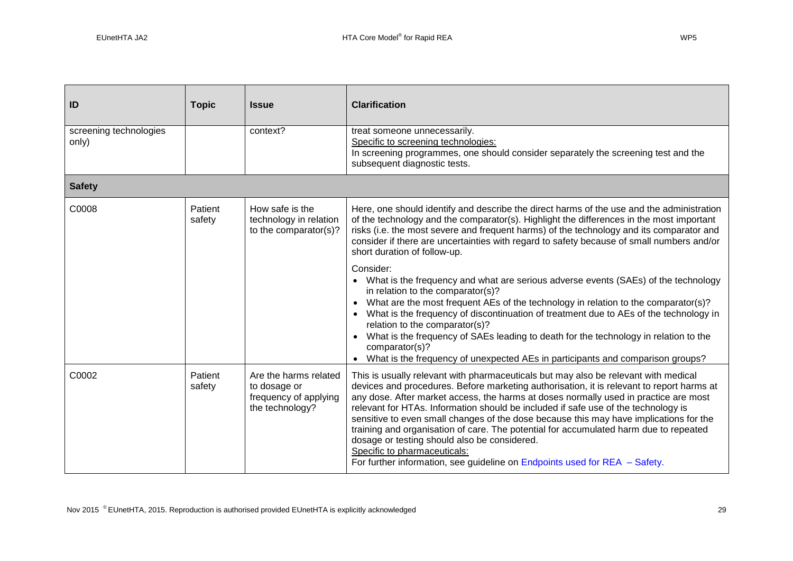| ID                                                                                                                               | <b>Topic</b>      | <b>Issue</b>                                                                                                                                                                                                                                                                                                                                                                   | <b>Clarification</b>                                                                                                                                                                                                                                                                                                                                                                                                                                                                                                                                                                                                                                                                                               |  |
|----------------------------------------------------------------------------------------------------------------------------------|-------------------|--------------------------------------------------------------------------------------------------------------------------------------------------------------------------------------------------------------------------------------------------------------------------------------------------------------------------------------------------------------------------------|--------------------------------------------------------------------------------------------------------------------------------------------------------------------------------------------------------------------------------------------------------------------------------------------------------------------------------------------------------------------------------------------------------------------------------------------------------------------------------------------------------------------------------------------------------------------------------------------------------------------------------------------------------------------------------------------------------------------|--|
| screening technologies<br>only)                                                                                                  |                   | context?                                                                                                                                                                                                                                                                                                                                                                       | treat someone unnecessarily.<br>Specific to screening technologies:<br>In screening programmes, one should consider separately the screening test and the<br>subsequent diagnostic tests.                                                                                                                                                                                                                                                                                                                                                                                                                                                                                                                          |  |
| <b>Safety</b>                                                                                                                    |                   |                                                                                                                                                                                                                                                                                                                                                                                |                                                                                                                                                                                                                                                                                                                                                                                                                                                                                                                                                                                                                                                                                                                    |  |
| Patient<br>C0008<br>How safe is the<br>technology in relation<br>safety<br>to the comparator(s)?<br>short duration of follow-up. |                   | Here, one should identify and describe the direct harms of the use and the administration<br>of the technology and the comparator(s). Highlight the differences in the most important<br>risks (i.e. the most severe and frequent harms) of the technology and its comparator and<br>consider if there are uncertainties with regard to safety because of small numbers and/or |                                                                                                                                                                                                                                                                                                                                                                                                                                                                                                                                                                                                                                                                                                                    |  |
|                                                                                                                                  |                   |                                                                                                                                                                                                                                                                                                                                                                                | Consider:<br>• What is the frequency and what are serious adverse events (SAEs) of the technology<br>in relation to the comparator(s)?<br>What are the most frequent AEs of the technology in relation to the comparator(s)?<br>$\bullet$<br>What is the frequency of discontinuation of treatment due to AEs of the technology in<br>relation to the comparator(s)?<br>• What is the frequency of SAEs leading to death for the technology in relation to the<br>comparator(s)?<br>• What is the frequency of unexpected AEs in participants and comparison groups?                                                                                                                                               |  |
| C0002                                                                                                                            | Patient<br>safety | Are the harms related<br>to dosage or<br>frequency of applying<br>the technology?                                                                                                                                                                                                                                                                                              | This is usually relevant with pharmaceuticals but may also be relevant with medical<br>devices and procedures. Before marketing authorisation, it is relevant to report harms at<br>any dose. After market access, the harms at doses normally used in practice are most<br>relevant for HTAs. Information should be included if safe use of the technology is<br>sensitive to even small changes of the dose because this may have implications for the<br>training and organisation of care. The potential for accumulated harm due to repeated<br>dosage or testing should also be considered.<br>Specific to pharmaceuticals:<br>For further information, see guideline on Endpoints used for $REA - Safety$ . |  |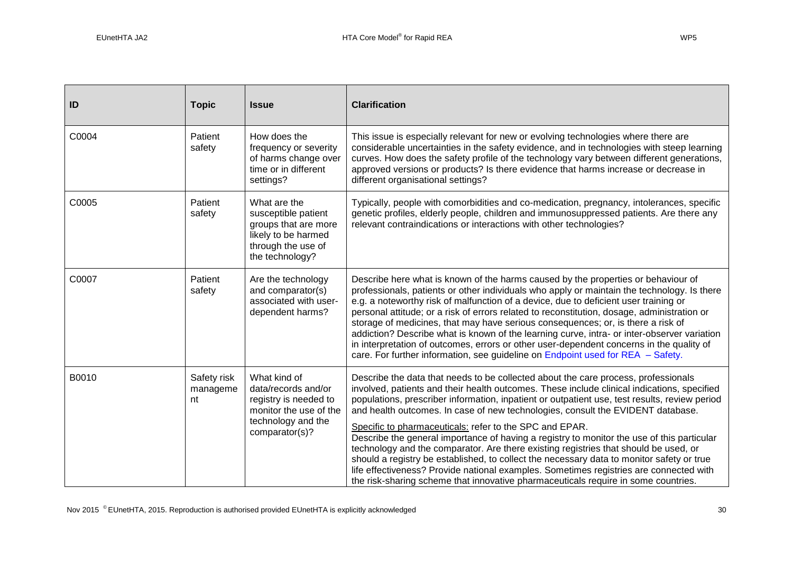| ID    | <b>Topic</b>                  | <b>Issue</b>                                                                                                                   | <b>Clarification</b>                                                                                                                                                                                                                                                                                                                                                                                                                                                                                                                                                                                                                                                                                                                                                                                                                                                                                |  |  |  |
|-------|-------------------------------|--------------------------------------------------------------------------------------------------------------------------------|-----------------------------------------------------------------------------------------------------------------------------------------------------------------------------------------------------------------------------------------------------------------------------------------------------------------------------------------------------------------------------------------------------------------------------------------------------------------------------------------------------------------------------------------------------------------------------------------------------------------------------------------------------------------------------------------------------------------------------------------------------------------------------------------------------------------------------------------------------------------------------------------------------|--|--|--|
| C0004 | Patient<br>safety             | How does the<br>frequency or severity<br>of harms change over<br>time or in different<br>settings?                             | This issue is especially relevant for new or evolving technologies where there are<br>considerable uncertainties in the safety evidence, and in technologies with steep learning<br>curves. How does the safety profile of the technology vary between different generations,<br>approved versions or products? Is there evidence that harms increase or decrease in<br>different organisational settings?                                                                                                                                                                                                                                                                                                                                                                                                                                                                                          |  |  |  |
| C0005 | Patient<br>safety             | What are the<br>susceptible patient<br>groups that are more<br>likely to be harmed<br>through the use of<br>the technology?    | Typically, people with comorbidities and co-medication, pregnancy, intolerances, specific<br>genetic profiles, elderly people, children and immunosuppressed patients. Are there any<br>relevant contraindications or interactions with other technologies?                                                                                                                                                                                                                                                                                                                                                                                                                                                                                                                                                                                                                                         |  |  |  |
| C0007 | Patient<br>safety             | Are the technology<br>and comparator(s)<br>associated with user-<br>dependent harms?                                           | Describe here what is known of the harms caused by the properties or behaviour of<br>professionals, patients or other individuals who apply or maintain the technology. Is there<br>e.g. a noteworthy risk of malfunction of a device, due to deficient user training or<br>personal attitude; or a risk of errors related to reconstitution, dosage, administration or<br>storage of medicines, that may have serious consequences; or, is there a risk of<br>addiction? Describe what is known of the learning curve, intra- or inter-observer variation<br>in interpretation of outcomes, errors or other user-dependent concerns in the quality of<br>care. For further information, see guideline on Endpoint used for REA - Safety.                                                                                                                                                           |  |  |  |
| B0010 | Safety risk<br>manageme<br>nt | What kind of<br>data/records and/or<br>registry is needed to<br>monitor the use of the<br>technology and the<br>comparator(s)? | Describe the data that needs to be collected about the care process, professionals<br>involved, patients and their health outcomes. These include clinical indications, specified<br>populations, prescriber information, inpatient or outpatient use, test results, review period<br>and health outcomes. In case of new technologies, consult the EVIDENT database.<br>Specific to pharmaceuticals: refer to the SPC and EPAR.<br>Describe the general importance of having a registry to monitor the use of this particular<br>technology and the comparator. Are there existing registries that should be used, or<br>should a registry be established, to collect the necessary data to monitor safety or true<br>life effectiveness? Provide national examples. Sometimes registries are connected with<br>the risk-sharing scheme that innovative pharmaceuticals require in some countries. |  |  |  |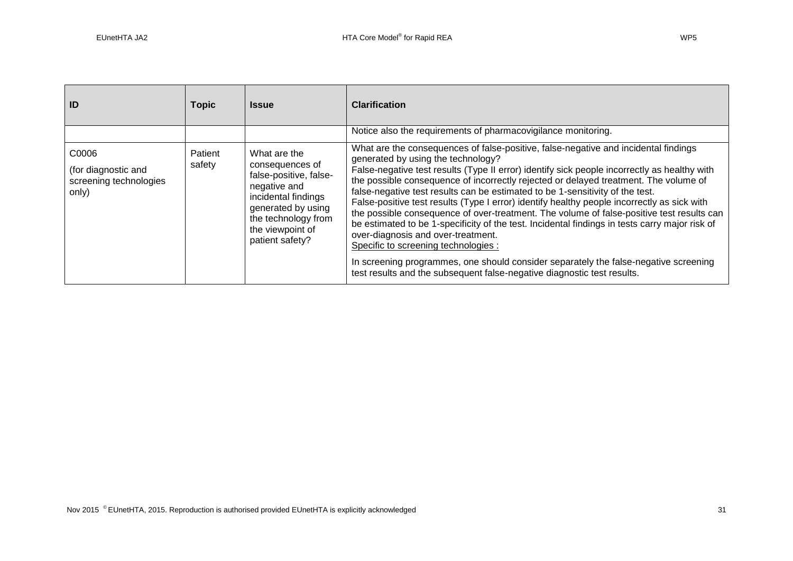| ID                                                              | <b>Topic</b>      | <b>Issue</b>                                                                                                                                                                         | <b>Clarification</b>                                                                                                                                                                                                                                                                                                                                                                                                                                                                                                                                                                                                                                                                                                                                                                                                                                                                                                                              |  |
|-----------------------------------------------------------------|-------------------|--------------------------------------------------------------------------------------------------------------------------------------------------------------------------------------|---------------------------------------------------------------------------------------------------------------------------------------------------------------------------------------------------------------------------------------------------------------------------------------------------------------------------------------------------------------------------------------------------------------------------------------------------------------------------------------------------------------------------------------------------------------------------------------------------------------------------------------------------------------------------------------------------------------------------------------------------------------------------------------------------------------------------------------------------------------------------------------------------------------------------------------------------|--|
|                                                                 |                   |                                                                                                                                                                                      | Notice also the requirements of pharmacovigilance monitoring.                                                                                                                                                                                                                                                                                                                                                                                                                                                                                                                                                                                                                                                                                                                                                                                                                                                                                     |  |
| C0006<br>(for diagnostic and<br>screening technologies<br>only) | Patient<br>safety | What are the<br>consequences of<br>false-positive, false-<br>negative and<br>incidental findings<br>generated by using<br>the technology from<br>the viewpoint of<br>patient safety? | What are the consequences of false-positive, false-negative and incidental findings<br>generated by using the technology?<br>False-negative test results (Type II error) identify sick people incorrectly as healthy with<br>the possible consequence of incorrectly rejected or delayed treatment. The volume of<br>false-negative test results can be estimated to be 1-sensitivity of the test.<br>False-positive test results (Type I error) identify healthy people incorrectly as sick with<br>the possible consequence of over-treatment. The volume of false-positive test results can<br>be estimated to be 1-specificity of the test. Incidental findings in tests carry major risk of<br>over-diagnosis and over-treatment.<br>Specific to screening technologies :<br>In screening programmes, one should consider separately the false-negative screening<br>test results and the subsequent false-negative diagnostic test results. |  |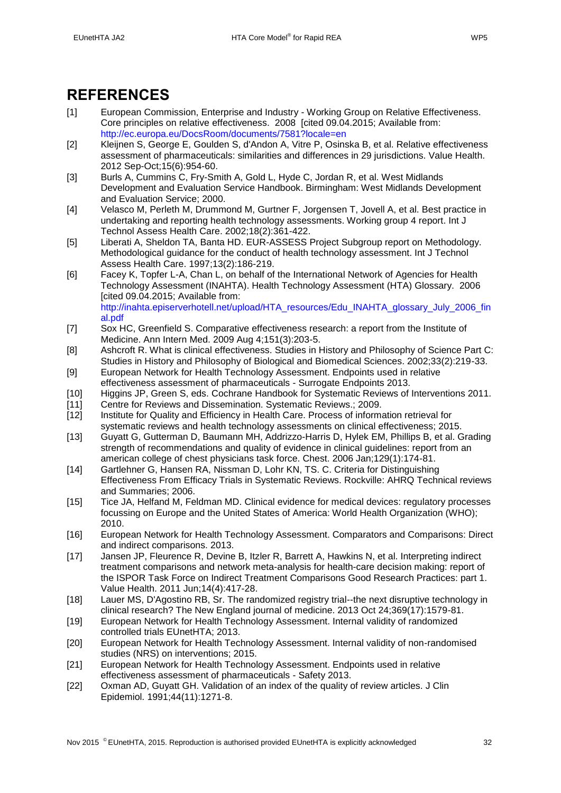# <span id="page-31-0"></span>**REFERENCES**

- <span id="page-31-1"></span>[1] European Commission, Enterprise and Industry - Working Group on Relative Effectiveness. Core principles on relative effectiveness. 2008 [cited 09.04.2015; Available from: <http://ec.europa.eu/DocsRoom/documents/7581?locale=en>
- <span id="page-31-2"></span>[2] Kleijnen S, George E, Goulden S, d'Andon A, Vitre P, Osinska B, et al. Relative effectiveness assessment of pharmaceuticals: similarities and differences in 29 jurisdictions. Value Health. 2012 Sep-Oct;15(6):954-60.
- <span id="page-31-3"></span>[3] Burls A, Cummins C, Fry-Smith A, Gold L, Hyde C, Jordan R, et al. West Midlands Development and Evaluation Service Handbook. Birmingham: West Midlands Development and Evaluation Service; 2000.
- <span id="page-31-8"></span>[4] Velasco M, Perleth M, Drummond M, Gurtner F, Jorgensen T, Jovell A, et al. Best practice in undertaking and reporting health technology assessments. Working group 4 report. Int J Technol Assess Health Care. 2002;18(2):361-422.
- [5] Liberati A, Sheldon TA, Banta HD. EUR-ASSESS Project Subgroup report on Methodology. Methodological guidance for the conduct of health technology assessment. Int J Technol Assess Health Care. 1997;13(2):186-219.
- <span id="page-31-4"></span>[6] Facey K, Topfer L-A, Chan L, on behalf of the International Network of Agencies for Health Technology Assessment (INAHTA). Health Technology Assessment (HTA) Glossary. 2006 [cited 09.04.2015; Available from: [http://inahta.episerverhotell.net/upload/HTA\\_resources/Edu\\_INAHTA\\_glossary\\_July\\_2006\\_fin](http://inahta.episerverhotell.net/upload/HTA_resources/Edu_INAHTA_glossary_July_2006_final.pdf) [al.pdf](http://inahta.episerverhotell.net/upload/HTA_resources/Edu_INAHTA_glossary_July_2006_final.pdf)
- <span id="page-31-5"></span>[7] Sox HC, Greenfield S. Comparative effectiveness research: a report from the Institute of Medicine. Ann Intern Med. 2009 Aug 4;151(3):203-5.
- <span id="page-31-6"></span>[8] Ashcroft R. What is clinical effectiveness. Studies in History and Philosophy of Science Part C: Studies in History and Philosophy of Biological and Biomedical Sciences. 2002;33(2):219-33.
- <span id="page-31-7"></span>[9] European Network for Health Technology Assessment. Endpoints used in relative effectiveness assessment of pharmaceuticals - Surrogate Endpoints 2013.
- <span id="page-31-9"></span>[10] Higgins JP, Green S, eds. Cochrane Handbook for Systematic Reviews of Interventions 2011.
- <span id="page-31-10"></span>[11] Centre for Reviews and Dissemination. Systematic Reviews.; 2009.
- <span id="page-31-11"></span>[12] Institute for Quality and Efficiency in Health Care. Process of information retrieval for systematic reviews and health technology assessments on clinical effectiveness; 2015.
- <span id="page-31-12"></span>[13] Guyatt G, Gutterman D, Baumann MH, Addrizzo-Harris D, Hylek EM, Phillips B, et al. Grading strength of recommendations and quality of evidence in clinical guidelines: report from an american college of chest physicians task force. Chest. 2006 Jan;129(1):174-81.
- <span id="page-31-13"></span>[14] Gartlehner G, Hansen RA, Nissman D, Lohr KN, TS. C. Criteria for Distinguishing Effectiveness From Efficacy Trials in Systematic Reviews. Rockville: AHRQ Technical reviews and Summaries; 2006.
- <span id="page-31-14"></span>[15] Tice JA, Helfand M, Feldman MD. Clinical evidence for medical devices: regulatory processes focussing on Europe and the United States of America: World Health Organization (WHO); 2010.
- <span id="page-31-15"></span>[16] European Network for Health Technology Assessment. Comparators and Comparisons: Direct and indirect comparisons. 2013.
- <span id="page-31-16"></span>[17] Jansen JP, Fleurence R, Devine B, Itzler R, Barrett A, Hawkins N, et al. Interpreting indirect treatment comparisons and network meta-analysis for health-care decision making: report of the ISPOR Task Force on Indirect Treatment Comparisons Good Research Practices: part 1. Value Health. 2011 Jun;14(4):417-28.
- <span id="page-31-17"></span>[18] Lauer MS, D'Agostino RB, Sr. The randomized registry trial--the next disruptive technology in clinical research? The New England journal of medicine. 2013 Oct 24;369(17):1579-81.
- <span id="page-31-18"></span>[19] European Network for Health Technology Assessment. Internal validity of randomized controlled trials EUnetHTA; 2013.
- <span id="page-31-19"></span>[20] European Network for Health Technology Assessment. Internal validity of non-randomised studies (NRS) on interventions; 2015.
- <span id="page-31-20"></span>[21] European Network for Health Technology Assessment. Endpoints used in relative effectiveness assessment of pharmaceuticals - Safety 2013.
- <span id="page-31-21"></span>[22] Oxman AD, Guyatt GH. Validation of an index of the quality of review articles. J Clin Epidemiol. 1991;44(11):1271-8.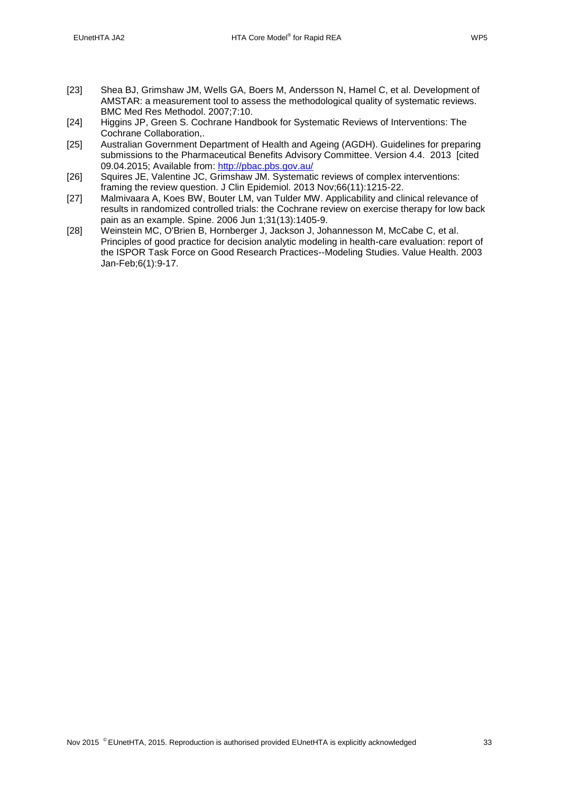- <span id="page-32-0"></span>[23] Shea BJ, Grimshaw JM, Wells GA, Boers M, Andersson N, Hamel C, et al. Development of AMSTAR: a measurement tool to assess the methodological quality of systematic reviews. BMC Med Res Methodol. 2007;7:10.
- <span id="page-32-1"></span>[24] Higgins JP, Green S. Cochrane Handbook for Systematic Reviews of Interventions: The Cochrane Collaboration,.
- <span id="page-32-2"></span>[25] Australian Government Department of Health and Ageing (AGDH). Guidelines for preparing submissions to the Pharmaceutical Benefits Advisory Committee. Version 4.4. 2013 [cited 09.04.2015; Available from:<http://pbac.pbs.gov.au/>
- <span id="page-32-3"></span>[26] Squires JE, Valentine JC, Grimshaw JM. Systematic reviews of complex interventions: framing the review question. J Clin Epidemiol. 2013 Nov;66(11):1215-22.
- <span id="page-32-4"></span>[27] Malmivaara A, Koes BW, Bouter LM, van Tulder MW. Applicability and clinical relevance of results in randomized controlled trials: the Cochrane review on exercise therapy for low back pain as an example. Spine. 2006 Jun 1;31(13):1405-9.
- <span id="page-32-5"></span>[28] Weinstein MC, O'Brien B, Hornberger J, Jackson J, Johannesson M, McCabe C, et al. Principles of good practice for decision analytic modeling in health-care evaluation: report of the ISPOR Task Force on Good Research Practices--Modeling Studies. Value Health. 2003 Jan-Feb;6(1):9-17.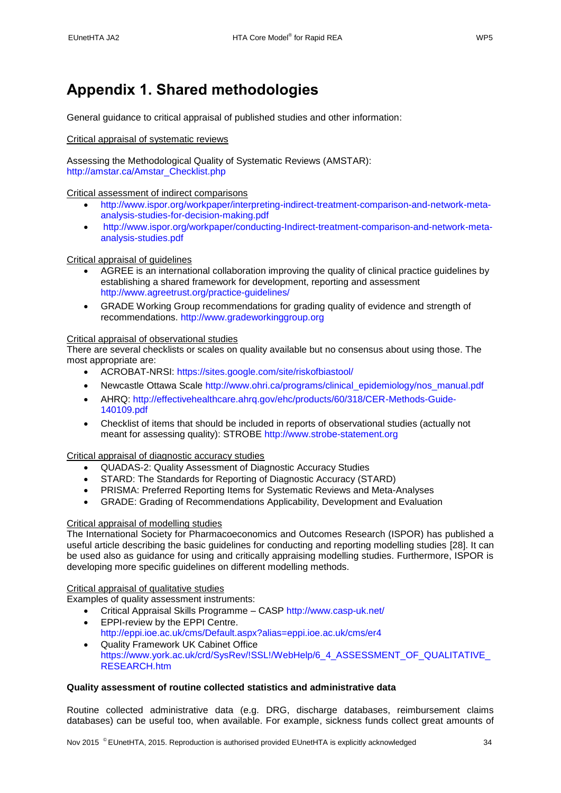# <span id="page-33-0"></span>**Appendix 1. Shared methodologies**

General guidance to critical appraisal of published studies and other information:

### Critical appraisal of systematic reviews

Assessing the Methodological Quality of Systematic Reviews (AMSTAR): [http://amstar.ca/Amstar\\_Checklist.php](http://amstar.ca/Amstar_Checklist.php)

### Critical assessment of indirect comparisons

- [http://www.ispor.org/workpaper/interpreting-indirect-treatment-comparison-and-network-meta](http://www.ispor.org/workpaper/interpreting-indirect-treatment-comparison-and-network-meta-analysis-studies-for-decision-making.pdf)[analysis-studies-for-decision-making.pdf](http://www.ispor.org/workpaper/interpreting-indirect-treatment-comparison-and-network-meta-analysis-studies-for-decision-making.pdf)
- [http://www.ispor.org/workpaper/conducting-Indirect-treatment-comparison-and-network-meta](http://www.ispor.org/workpaper/conducting-Indirect-treatment-comparison-and-network-meta-analysis-studies.pdf)[analysis-studies.pdf](http://www.ispor.org/workpaper/conducting-Indirect-treatment-comparison-and-network-meta-analysis-studies.pdf)

### Critical appraisal of guidelines

- AGREE is an international collaboration improving the quality of clinical practice guidelines by establishing a shared framework for development, reporting and assessment <http://www.agreetrust.org/practice-guidelines/>
- GRADE Working Group recommendations for grading quality of evidence and strength of recommendations. [http://www.gradeworkinggroup.org](http://www.gradeworkinggroup.org/)

#### Critical appraisal of observational studies

There are several checklists or scales on quality available but no consensus about using those. The most appropriate are:

- ACROBAT-NRSI:<https://sites.google.com/site/riskofbiastool/>
- Newcastle Ottawa Scale [http://www.ohri.ca/programs/clinical\\_epidemiology/nos\\_manual.pdf](http://www.ohri.ca/programs/clinical_epidemiology/nos_manual.pdf)
- AHRQ: [http://effectivehealthcare.ahrq.gov/ehc/products/60/318/CER-Methods-Guide-](http://effectivehealthcare.ahrq.gov/ehc/products/60/318/CER-Methods-Guide-140109.pdf)[140109.pdf](http://effectivehealthcare.ahrq.gov/ehc/products/60/318/CER-Methods-Guide-140109.pdf)
- Checklist of items that should be included in reports of observational studies (actually not meant for assessing quality): STROBE [http://www.strobe-statement.org](http://www.strobe-statement.org/)

#### Critical appraisal of diagnostic accuracy studies

- QUADAS-2: Quality Assessment of Diagnostic Accuracy Studies
- STARD: The Standards for Reporting of Diagnostic Accuracy (STARD)
- PRISMA: Preferred Reporting Items for Systematic Reviews and Meta-Analyses
- GRADE: Grading of Recommendations Applicability, Development and Evaluation

# Critical appraisal of modelling studies

The International Society for Pharmacoeconomics and Outcomes Research (ISPOR) has published a useful article describing the basic guidelines for conducting and reporting modelling studies [\[28\]](#page-32-5). It can be used also as guidance for using and critically appraising modelling studies. Furthermore, ISPOR is developing more specific guidelines on different modelling methods.

#### Critical appraisal of qualitative studies

Examples of quality assessment instruments:

- Critical Appraisal Skills Programme CASP<http://www.casp-uk.net/>
- EPPI-review by the EPPI Centre.
- <http://eppi.ioe.ac.uk/cms/Default.aspx?alias=eppi.ioe.ac.uk/cms/er4> Quality Framework UK Cabinet Office
- [https://www.york.ac.uk/crd/SysRev/!SSL!/WebHelp/6\\_4\\_ASSESSMENT\\_OF\\_QUALITATIVE\\_](https://www.york.ac.uk/crd/SysRev/!SSL!/WebHelp/6_4_ASSESSMENT_OF_QUALITATIVE_RESEARCH.htm) [RESEARCH.htm](https://www.york.ac.uk/crd/SysRev/!SSL!/WebHelp/6_4_ASSESSMENT_OF_QUALITATIVE_RESEARCH.htm)

## <span id="page-33-1"></span>**Quality assessment of routine collected statistics and administrative data**

Routine collected administrative data (e.g. DRG, discharge databases, reimbursement claims databases) can be useful too, when available. For example, sickness funds collect great amounts of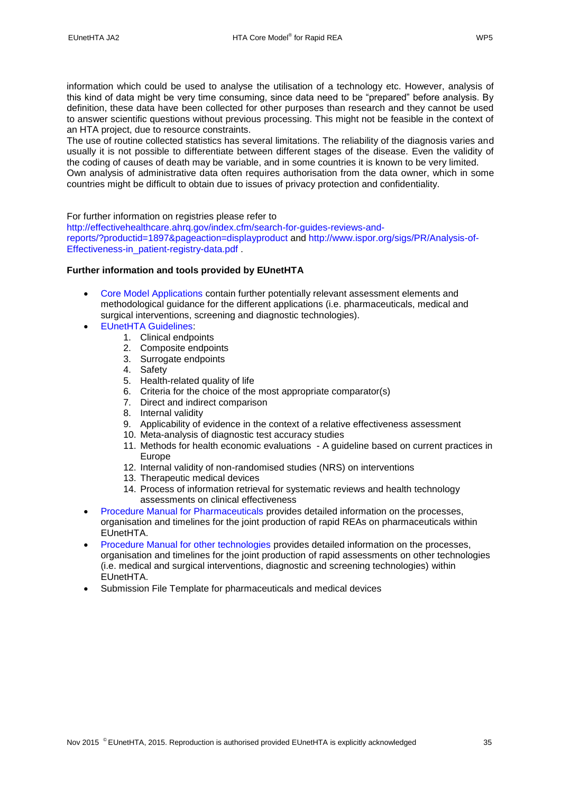information which could be used to analyse the utilisation of a technology etc. However, analysis of this kind of data might be very time consuming, since data need to be "prepared" before analysis. By definition, these data have been collected for other purposes than research and they cannot be used to answer scientific questions without previous processing. This might not be feasible in the context of an HTA project, due to resource constraints.

The use of routine collected statistics has several limitations. The reliability of the diagnosis varies and usually it is not possible to differentiate between different stages of the disease. Even the validity of the coding of causes of death may be variable, and in some countries it is known to be very limited. Own analysis of administrative data often requires authorisation from the data owner, which in some countries might be difficult to obtain due to issues of privacy protection and confidentiality.

#### For further information on registries please refer to

[http://effectivehealthcare.ahrq.gov/index.cfm/search-for-guides-reviews-and](http://effectivehealthcare.ahrq.gov/index.cfm/search-for-guides-reviews-and-reports/?productid=1897&pageaction=displayproduct)[reports/?productid=1897&pageaction=displayproduct](http://effectivehealthcare.ahrq.gov/index.cfm/search-for-guides-reviews-and-reports/?productid=1897&pageaction=displayproduct) and [http://www.ispor.org/sigs/PR/Analysis-of-](http://www.ispor.org/sigs/PR/Analysis-of-Effectiveness-in_patient-registry-data.pdf)[Effectiveness-in\\_patient-registry-data.pdf](http://www.ispor.org/sigs/PR/Analysis-of-Effectiveness-in_patient-registry-data.pdf)

## <span id="page-34-0"></span>**Further information and tools provided by EUnetHTA**

- [Core Model Applications](http://meka.thl.fi/htacore/BrowseModel.aspx) contain further potentially relevant assessment elements and methodological guidance for the different applications (i.e. pharmaceuticals, medical and surgical interventions, screening and diagnostic technologies).
- [EUnetHTA Guidelines:](http://www.eunethta.eu/eunethta-guidelines)
	- 1. Clinical endpoints
	- 2. Composite endpoints
	- 3. Surrogate endpoints
	- 4. Safety
	- 5. Health-related quality of life
	- 6. Criteria for the choice of the most appropriate comparator(s)
	- 7. Direct and indirect comparison
	- 8. Internal validity
	- 9. Applicability of evidence in the context of a relative effectiveness assessment
	- 10. Meta-analysis of diagnostic test accuracy studies
	- 11. Methods for health economic evaluations A guideline based on current practices in Europe
	- 12. Internal validity of non-randomised studies (NRS) on interventions
	- 13. Therapeutic medical devices
	- 14. Process of information retrieval for systematic reviews and health technology assessments on clinical effectiveness
- [Procedure Manual for Pharmaceuticals](http://www.eunethta.eu/sites/5026.fedimbo.belgium.be/files/2012123627%20-%20Procedure_manual_REA%20pilots_WP5_Strand%20A.PDF) provides detailed information on the processes, organisation and timelines for the joint production of rapid REAs on pharmaceuticals within EUnetHTA.
- [Procedure Manual for other technologies](http://www.eunethta.eu/) provides detailed information on the processes, organisation and timelines for the joint production of rapid assessments on other technologies (i.e. medical and surgical interventions, diagnostic and screening technologies) within EUnetHTA.
- Submission File Template for pharmaceuticals and medical devices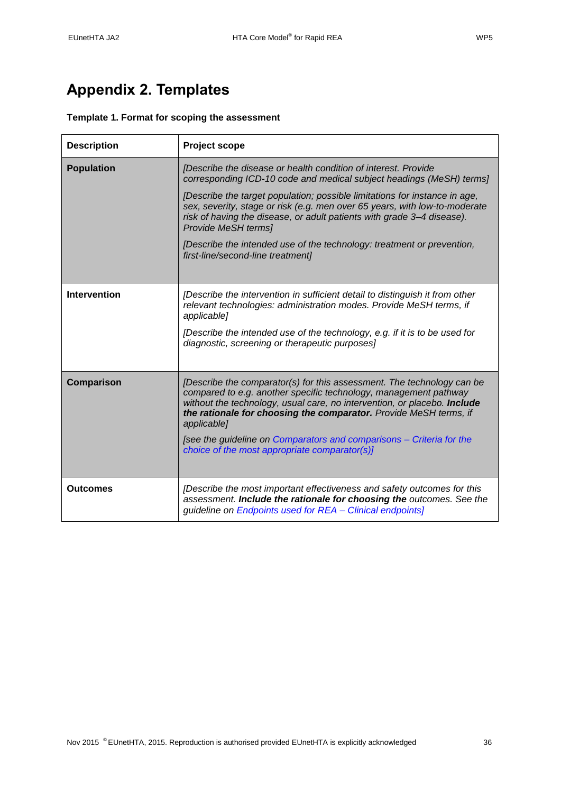# <span id="page-35-0"></span>**Appendix 2. Templates**

# <span id="page-35-1"></span>**Template 1. Format for scoping the assessment**

| <b>Description</b> | <b>Project scope</b>                                                                                                                                                                                                                                                                                       |  |  |
|--------------------|------------------------------------------------------------------------------------------------------------------------------------------------------------------------------------------------------------------------------------------------------------------------------------------------------------|--|--|
| <b>Population</b>  | [Describe the disease or health condition of interest. Provide<br>corresponding ICD-10 code and medical subject headings (MeSH) terms]                                                                                                                                                                     |  |  |
|                    | [Describe the target population; possible limitations for instance in age,<br>sex, severity, stage or risk (e.g. men over 65 years, with low-to-moderate<br>risk of having the disease, or adult patients with grade 3-4 disease).<br>Provide MeSH terms]                                                  |  |  |
|                    | [Describe the intended use of the technology: treatment or prevention,<br>first-line/second-line treatment]                                                                                                                                                                                                |  |  |
|                    |                                                                                                                                                                                                                                                                                                            |  |  |
| Intervention       | [Describe the intervention in sufficient detail to distinguish it from other<br>relevant technologies: administration modes. Provide MeSH terms, if<br>applicable]                                                                                                                                         |  |  |
|                    | [Describe the intended use of the technology, e.g. if it is to be used for<br>diagnostic, screening or therapeutic purposes]                                                                                                                                                                               |  |  |
| Comparison         | [Describe the comparator(s) for this assessment. The technology can be<br>compared to e.g. another specific technology, management pathway<br>without the technology, usual care, no intervention, or placebo. Include<br>the rationale for choosing the comparator. Provide MeSH terms, if<br>applicable] |  |  |
|                    | [see the guideline on Comparators and comparisons - Criteria for the<br>choice of the most appropriate comparator(s)]                                                                                                                                                                                      |  |  |
| <b>Outcomes</b>    | [Describe the most important effectiveness and safety outcomes for this<br>assessment. Include the rationale for choosing the outcomes. See the<br>guideline on Endpoints used for REA - Clinical endpoints]                                                                                               |  |  |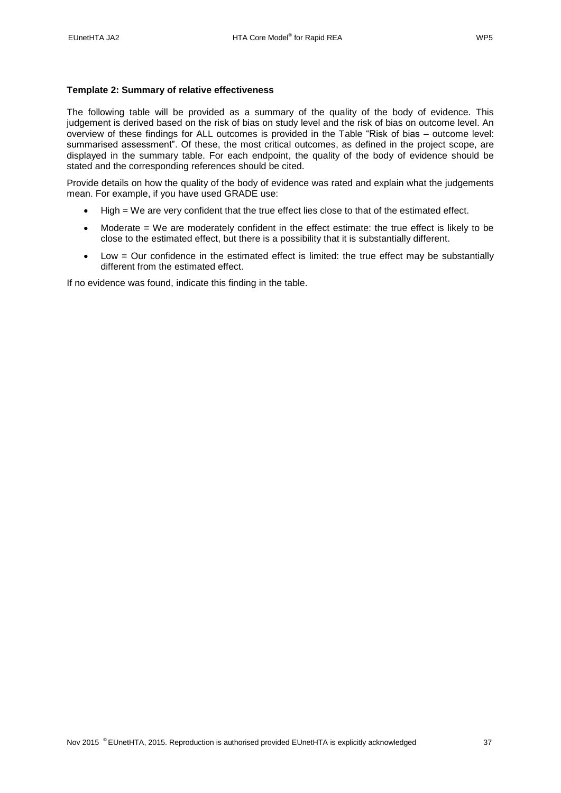### <span id="page-36-0"></span>**Template 2: Summary of relative effectiveness**

The following table will be provided as a summary of the quality of the body of evidence. This judgement is derived based on the risk of bias on study level and the risk of bias on outcome level. An overview of these findings for ALL outcomes is provided in the Table "Risk of bias – outcome level: summarised assessment". Of these, the most critical outcomes, as defined in the project scope, are displayed in the summary table. For each endpoint, the quality of the body of evidence should be stated and the corresponding references should be cited.

Provide details on how the quality of the body of evidence was rated and explain what the judgements mean. For example, if you have used GRADE use:

- High = We are very confident that the true effect lies close to that of the estimated effect.
- Moderate = We are moderately confident in the effect estimate: the true effect is likely to be close to the estimated effect, but there is a possibility that it is substantially different.
- Low = Our confidence in the estimated effect is limited: the true effect may be substantially different from the estimated effect.

If no evidence was found, indicate this finding in the table.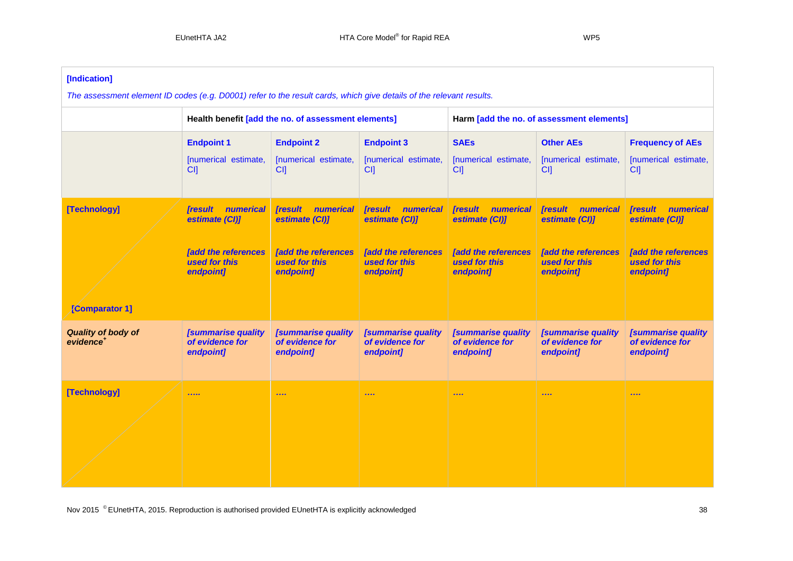| [Indication]<br>The assessment element ID codes (e.g. D0001) refer to the result cards, which give details of the relevant results. |                                                                                                           |                                                                                                                  |                                                                                                                               |                                                                                                           |                                                                                                           |                                                                                                           |  |
|-------------------------------------------------------------------------------------------------------------------------------------|-----------------------------------------------------------------------------------------------------------|------------------------------------------------------------------------------------------------------------------|-------------------------------------------------------------------------------------------------------------------------------|-----------------------------------------------------------------------------------------------------------|-----------------------------------------------------------------------------------------------------------|-----------------------------------------------------------------------------------------------------------|--|
|                                                                                                                                     |                                                                                                           | Health benefit [add the no. of assessment elements]                                                              |                                                                                                                               | Harm [add the no. of assessment elements]                                                                 |                                                                                                           |                                                                                                           |  |
|                                                                                                                                     | <b>Endpoint 1</b><br>[numerical estimate,<br>CI                                                           | <b>Endpoint 2</b><br>[numerical estimate,<br>CI                                                                  | <b>Endpoint 3</b><br>[numerical estimate,<br>CI <sub>1</sub>                                                                  | <b>SAEs</b><br>[numerical estimate,<br>CI                                                                 | <b>Other AEs</b><br>[numerical estimate,<br>CI                                                            | <b>Frequency of AEs</b><br>[numerical estimate,<br>CI <sub>1</sub>                                        |  |
| [Technology]<br><b>[Comparator 1]</b>                                                                                               | <b>Tresult</b><br>numerical<br>estimate (CI)]<br><b>[add the references</b><br>used for this<br>endpoint] | <i><b>[result</b></i><br>numerical<br>estimate (CI)]<br><b>[add the references</b><br>used for this<br>endpoint] | <b>Tresult</b><br><b>numerical</b><br>estimate (CI)]<br><b><i><u>add the references</u></i></b><br>used for this<br>endpoint] | <b>Tresult</b><br>numerical<br>estimate (CI)]<br><b>[add the references</b><br>used for this<br>endpoint] | <b>Tresult</b><br>numerical<br>estimate (CI)]<br><b>[add the references</b><br>used for this<br>endpoint] | <b>Tresult</b><br>numerical<br>estimate (CI)]<br><b>[add the references</b><br>used for this<br>endpoint] |  |
| <b>Quality of body of</b><br>evidence <sup>+</sup>                                                                                  | <b>[summarise quality</b><br>of evidence for<br>endpoint]                                                 | <b>[summarise quality</b><br>of evidence for<br>endpoint]                                                        | <b>[summarise quality</b><br>of evidence for<br>endpoint]                                                                     | <b>[summarise quality</b><br>of evidence for<br>endpoint]                                                 | <b>[summarise quality</b><br>of evidence for<br>endpoint]                                                 | <b>[summarise quality</b><br>of evidence for<br>endpoint]                                                 |  |
| [Technology]                                                                                                                        | 1.1.1.1                                                                                                   | $\cdots$                                                                                                         | $\cdots$                                                                                                                      | $\begin{array}{ccc} \bullet & \bullet & \bullet & \bullet \end{array}$                                    | $\begin{array}{ccc} \bullet & \bullet & \bullet & \bullet \end{array}$                                    |                                                                                                           |  |

Nov 2015<sup>
©</sup>EUnetHTA, 2015. Reproduction is authorised provided EUnetHTA is explicitly acknowledged 38<br>
38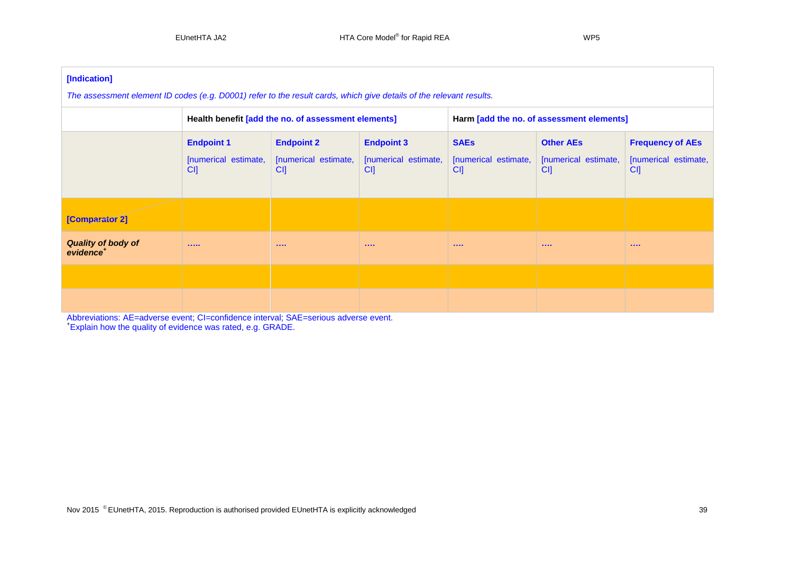| [Indication]<br>The assessment element ID codes (e.g. D0001) refer to the result cards, which give details of the relevant results. |                                                                                                                                                              |  |                                                                                                   |         |                                                 |  |  |
|-------------------------------------------------------------------------------------------------------------------------------------|--------------------------------------------------------------------------------------------------------------------------------------------------------------|--|---------------------------------------------------------------------------------------------------|---------|-------------------------------------------------|--|--|
|                                                                                                                                     | Health benefit [add the no. of assessment elements]<br>Harm [add the no. of assessment elements]                                                             |  |                                                                                                   |         |                                                 |  |  |
|                                                                                                                                     | <b>Endpoint 1</b><br><b>Endpoint 2</b><br><b>Endpoint 3</b><br>[numerical estimate,<br>[numerical estimate,<br>[numerical estimate,<br>CI<br>CI<br><b>CI</b> |  | <b>SAEs</b><br><b>Other AEs</b><br>[numerical estimate,<br>[numerical estimate,<br>CI<br>CI<br>CI |         | <b>Frequency of AEs</b><br>[numerical estimate, |  |  |
| [Comparator 2]                                                                                                                      |                                                                                                                                                              |  |                                                                                                   |         |                                                 |  |  |
| <b>Quality of body of</b><br>evidence <sup>+</sup>                                                                                  |                                                                                                                                                              |  | 1.111                                                                                             | 1.1.1.1 | 1.111                                           |  |  |
|                                                                                                                                     |                                                                                                                                                              |  |                                                                                                   |         |                                                 |  |  |
|                                                                                                                                     |                                                                                                                                                              |  |                                                                                                   |         |                                                 |  |  |

Abbreviations: AE=adverse event; CI=confidence interval; SAE=serious adverse event. + Explain how the quality of evidence was rated, e.g. GRADE.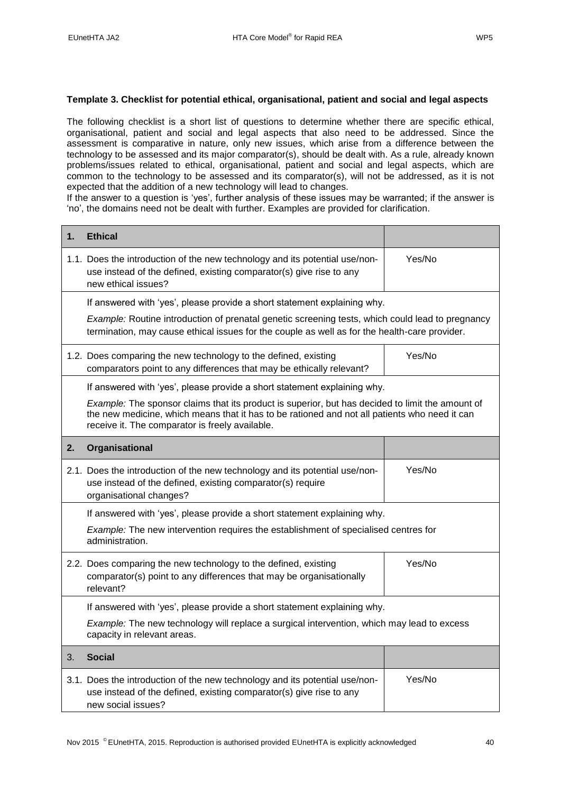## <span id="page-39-0"></span>**Template 3. Checklist for potential ethical, organisational, patient and social and legal aspects**

The following checklist is a short list of questions to determine whether there are specific ethical, organisational, patient and social and legal aspects that also need to be addressed. Since the assessment is comparative in nature, only new issues, which arise from a difference between the technology to be assessed and its major comparator(s), should be dealt with. As a rule, already known problems/issues related to ethical, organisational, patient and social and legal aspects, which are common to the technology to be assessed and its comparator(s), will not be addressed, as it is not expected that the addition of a new technology will lead to changes.

If the answer to a question is 'yes', further analysis of these issues may be warranted; if the answer is 'no', the domains need not be dealt with further. Examples are provided for clarification.

| 1. | <b>Ethical</b>                                                                                                                                                                                                                                       |        |  |  |  |  |
|----|------------------------------------------------------------------------------------------------------------------------------------------------------------------------------------------------------------------------------------------------------|--------|--|--|--|--|
|    | 1.1. Does the introduction of the new technology and its potential use/non-<br>use instead of the defined, existing comparator(s) give rise to any<br>new ethical issues?                                                                            | Yes/No |  |  |  |  |
|    | If answered with 'yes', please provide a short statement explaining why.                                                                                                                                                                             |        |  |  |  |  |
|    | Example: Routine introduction of prenatal genetic screening tests, which could lead to pregnancy<br>termination, may cause ethical issues for the couple as well as for the health-care provider.                                                    |        |  |  |  |  |
|    | 1.2. Does comparing the new technology to the defined, existing<br>comparators point to any differences that may be ethically relevant?                                                                                                              | Yes/No |  |  |  |  |
|    | If answered with 'yes', please provide a short statement explaining why.                                                                                                                                                                             |        |  |  |  |  |
|    | Example: The sponsor claims that its product is superior, but has decided to limit the amount of<br>the new medicine, which means that it has to be rationed and not all patients who need it can<br>receive it. The comparator is freely available. |        |  |  |  |  |
| 2. | Organisational                                                                                                                                                                                                                                       |        |  |  |  |  |
|    | 2.1. Does the introduction of the new technology and its potential use/non-<br>use instead of the defined, existing comparator(s) require<br>organisational changes?                                                                                 | Yes/No |  |  |  |  |
|    | If answered with 'yes', please provide a short statement explaining why.                                                                                                                                                                             |        |  |  |  |  |
|    | Example: The new intervention requires the establishment of specialised centres for<br>administration.                                                                                                                                               |        |  |  |  |  |
|    | 2.2. Does comparing the new technology to the defined, existing<br>comparator(s) point to any differences that may be organisationally<br>relevant?                                                                                                  | Yes/No |  |  |  |  |
|    | If answered with 'yes', please provide a short statement explaining why.                                                                                                                                                                             |        |  |  |  |  |
|    | Example: The new technology will replace a surgical intervention, which may lead to excess<br>capacity in relevant areas.                                                                                                                            |        |  |  |  |  |
| 3. | <b>Social</b>                                                                                                                                                                                                                                        |        |  |  |  |  |
|    | 3.1. Does the introduction of the new technology and its potential use/non-<br>use instead of the defined, existing comparator(s) give rise to any<br>new social issues?                                                                             | Yes/No |  |  |  |  |